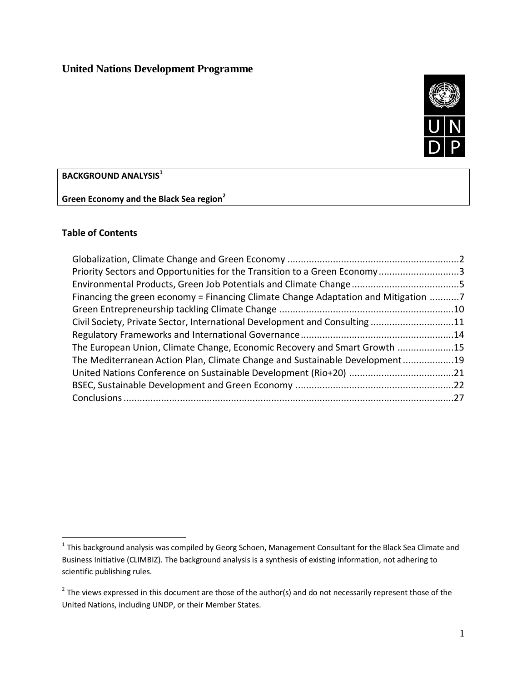# **United Nations Development Programme**



**BACKGROUND ANALYSIS<sup>1</sup>**

**Green Economy and the Black Sea region<sup>2</sup>**

## **Table of Contents**

 $\overline{a}$ 

| Priority Sectors and Opportunities for the Transition to a Green Economy3          |  |
|------------------------------------------------------------------------------------|--|
|                                                                                    |  |
| Financing the green economy = Financing Climate Change Adaptation and Mitigation 7 |  |
|                                                                                    |  |
| Civil Society, Private Sector, International Development and Consulting11          |  |
|                                                                                    |  |
| The European Union, Climate Change, Economic Recovery and Smart Growth 15          |  |
| The Mediterranean Action Plan, Climate Change and Sustainable Development19        |  |
|                                                                                    |  |
|                                                                                    |  |
|                                                                                    |  |

 $^{\text{1}}$  This background analysis was compiled by Georg Schoen, Management Consultant for the Black Sea Climate and Business Initiative (CLIMBIZ). The background analysis is a synthesis of existing information, not adhering to scientific publishing rules.

 $2$  The views expressed in this document are those of the author(s) and do not necessarily represent those of the United Nations, including UNDP, or their Member States.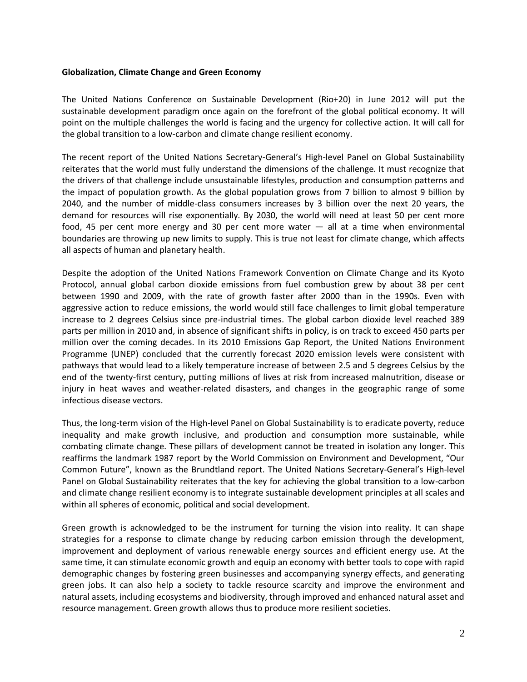#### <span id="page-1-0"></span>**Globalization, Climate Change and Green Economy**

The United Nations Conference on Sustainable Development (Rio+20) in June 2012 will put the sustainable development paradigm once again on the forefront of the global political economy. It will point on the multiple challenges the world is facing and the urgency for collective action. It will call for the global transition to a low-carbon and climate change resilient economy.

The recent report of the United Nations Secretary-General's High-level Panel on Global Sustainability reiterates that the world must fully understand the dimensions of the challenge. It must recognize that the drivers of that challenge include unsustainable lifestyles, production and consumption patterns and the impact of population growth. As the global population grows from 7 billion to almost 9 billion by 2040, and the number of middle-class consumers increases by 3 billion over the next 20 years, the demand for resources will rise exponentially. By 2030, the world will need at least 50 per cent more food, 45 per cent more energy and 30 per cent more water — all at a time when environmental boundaries are throwing up new limits to supply. This is true not least for climate change, which affects all aspects of human and planetary health.

Despite the adoption of the United Nations Framework Convention on Climate Change and its Kyoto Protocol, annual global carbon dioxide emissions from fuel combustion grew by about 38 per cent between 1990 and 2009, with the rate of growth faster after 2000 than in the 1990s. Even with aggressive action to reduce emissions, the world would still face challenges to limit global temperature increase to 2 degrees Celsius since pre-industrial times. The global carbon dioxide level reached 389 parts per million in 2010 and, in absence of significant shifts in policy, is on track to exceed 450 parts per million over the coming decades. In its 2010 Emissions Gap Report, the United Nations Environment Programme (UNEP) concluded that the currently forecast 2020 emission levels were consistent with pathways that would lead to a likely temperature increase of between 2.5 and 5 degrees Celsius by the end of the twenty-first century, putting millions of lives at risk from increased malnutrition, disease or injury in heat waves and weather-related disasters, and changes in the geographic range of some infectious disease vectors.

Thus, the long-term vision of the High-level Panel on Global Sustainability is to eradicate poverty, reduce inequality and make growth inclusive, and production and consumption more sustainable, while combating climate change. These pillars of development cannot be treated in isolation any longer. This reaffirms the landmark 1987 report by the World Commission on Environment and Development, "Our Common Future", known as the Brundtland report. The United Nations Secretary-General's High-level Panel on Global Sustainability reiterates that the key for achieving the global transition to a low-carbon and climate change resilient economy is to integrate sustainable development principles at all scales and within all spheres of economic, political and social development.

Green growth is acknowledged to be the instrument for turning the vision into reality. It can shape strategies for a response to climate change by reducing carbon emission through the development, improvement and deployment of various renewable energy sources and efficient energy use. At the same time, it can stimulate economic growth and equip an economy with better tools to cope with rapid demographic changes by fostering green businesses and accompanying synergy effects, and generating green jobs. It can also help a society to tackle resource scarcity and improve the environment and natural assets, including ecosystems and biodiversity, through improved and enhanced natural asset and resource management. Green growth allows thus to produce more resilient societies.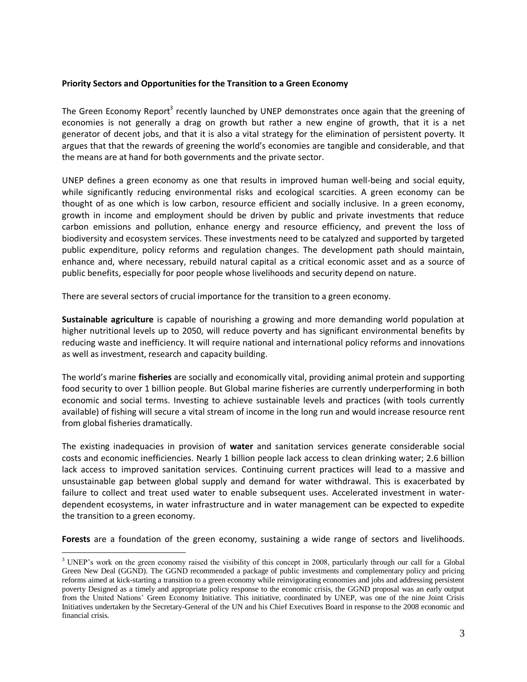### <span id="page-2-0"></span>**Priority Sectors and Opportunities for the Transition to a Green Economy**

The Green Economy Report<sup>3</sup> recently launched by UNEP demonstrates once again that the greening of economies is not generally a drag on growth but rather a new engine of growth, that it is a net generator of decent jobs, and that it is also a vital strategy for the elimination of persistent poverty. It argues that that the rewards of greening the world's economies are tangible and considerable, and that the means are at hand for both governments and the private sector.

UNEP defines a green economy as one that results in improved human well-being and social equity, while significantly reducing environmental risks and ecological scarcities. A green economy can be thought of as one which is low carbon, resource efficient and socially inclusive. In a green economy, growth in income and employment should be driven by public and private investments that reduce carbon emissions and pollution, enhance energy and resource efficiency, and prevent the loss of biodiversity and ecosystem services. These investments need to be catalyzed and supported by targeted public expenditure, policy reforms and regulation changes. The development path should maintain, enhance and, where necessary, rebuild natural capital as a critical economic asset and as a source of public benefits, especially for poor people whose livelihoods and security depend on nature.

There are several sectors of crucial importance for the transition to a green economy.

**Sustainable agriculture** is capable of nourishing a growing and more demanding world population at higher nutritional levels up to 2050, will reduce poverty and has significant environmental benefits by reducing waste and inefficiency. It will require national and international policy reforms and innovations as well as investment, research and capacity building.

The world's marine **fisheries** are socially and economically vital, providing animal protein and supporting food security to over 1 billion people. But Global marine fisheries are currently underperforming in both economic and social terms. Investing to achieve sustainable levels and practices (with tools currently available) of fishing will secure a vital stream of income in the long run and would increase resource rent from global fisheries dramatically.

The existing inadequacies in provision of **water** and sanitation services generate considerable social costs and economic inefficiencies. Nearly 1 billion people lack access to clean drinking water; 2.6 billion lack access to improved sanitation services. Continuing current practices will lead to a massive and unsustainable gap between global supply and demand for water withdrawal. This is exacerbated by failure to collect and treat used water to enable subsequent uses. Accelerated investment in waterdependent ecosystems, in water infrastructure and in water management can be expected to expedite the transition to a green economy.

**Forests** are a foundation of the green economy, sustaining a wide range of sectors and livelihoods.

 $\overline{a}$ <sup>3</sup> UNEP's work on the green economy raised the visibility of this concept in 2008, particularly through our call for a Global Green New Deal (GGND). The GGND recommended a package of public investments and complementary policy and pricing reforms aimed at kick-starting a transition to a green economy while reinvigorating economies and jobs and addressing persistent poverty Designed as a timely and appropriate policy response to the economic crisis, the GGND proposal was an early output from the United Nations' Green Economy Initiative. This initiative, coordinated by UNEP, was one of the nine Joint Crisis Initiatives undertaken by the Secretary-General of the UN and his Chief Executives Board in response to the 2008 economic and financial crisis.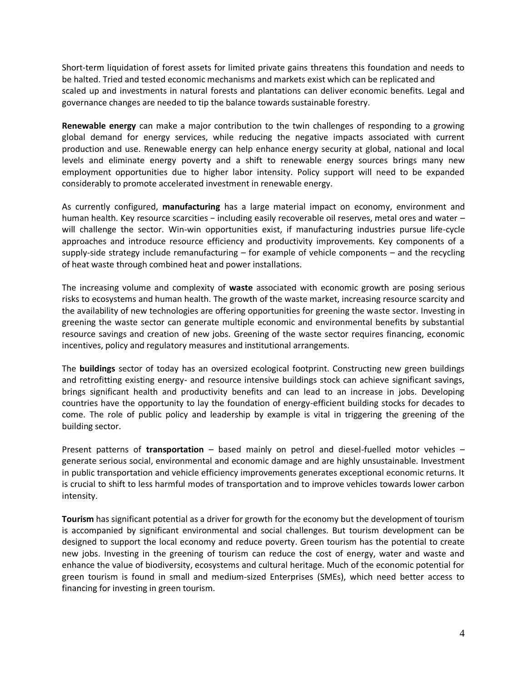Short-term liquidation of forest assets for limited private gains threatens this foundation and needs to be halted. Tried and tested economic mechanisms and markets exist which can be replicated and scaled up and investments in natural forests and plantations can deliver economic benefits. Legal and governance changes are needed to tip the balance towards sustainable forestry.

**Renewable energy** can make a major contribution to the twin challenges of responding to a growing global demand for energy services, while reducing the negative impacts associated with current production and use. Renewable energy can help enhance energy security at global, national and local levels and eliminate energy poverty and a shift to renewable energy sources brings many new employment opportunities due to higher labor intensity. Policy support will need to be expanded considerably to promote accelerated investment in renewable energy.

As currently configured, **manufacturing** has a large material impact on economy, environment and human health. Key resource scarcities − including easily recoverable oil reserves, metal ores and water – will challenge the sector. Win-win opportunities exist, if manufacturing industries pursue life-cycle approaches and introduce resource efficiency and productivity improvements. Key components of a supply-side strategy include remanufacturing – for example of vehicle components – and the recycling of heat waste through combined heat and power installations.

The increasing volume and complexity of **waste** associated with economic growth are posing serious risks to ecosystems and human health. The growth of the waste market, increasing resource scarcity and the availability of new technologies are offering opportunities for greening the waste sector. Investing in greening the waste sector can generate multiple economic and environmental benefits by substantial resource savings and creation of new jobs. Greening of the waste sector requires financing, economic incentives, policy and regulatory measures and institutional arrangements.

The **buildings** sector of today has an oversized ecological footprint. Constructing new green buildings and retrofitting existing energy- and resource intensive buildings stock can achieve significant savings, brings significant health and productivity benefits and can lead to an increase in jobs. Developing countries have the opportunity to lay the foundation of energy-efficient building stocks for decades to come. The role of public policy and leadership by example is vital in triggering the greening of the building sector.

Present patterns of **transportation** – based mainly on petrol and diesel-fuelled motor vehicles – generate serious social, environmental and economic damage and are highly unsustainable. Investment in public transportation and vehicle efficiency improvements generates exceptional economic returns. It is crucial to shift to less harmful modes of transportation and to improve vehicles towards lower carbon intensity.

**Tourism** has significant potential as a driver for growth for the economy but the development of tourism is accompanied by significant environmental and social challenges. But tourism development can be designed to support the local economy and reduce poverty. Green tourism has the potential to create new jobs. Investing in the greening of tourism can reduce the cost of energy, water and waste and enhance the value of biodiversity, ecosystems and cultural heritage. Much of the economic potential for green tourism is found in small and medium-sized Enterprises (SMEs), which need better access to financing for investing in green tourism.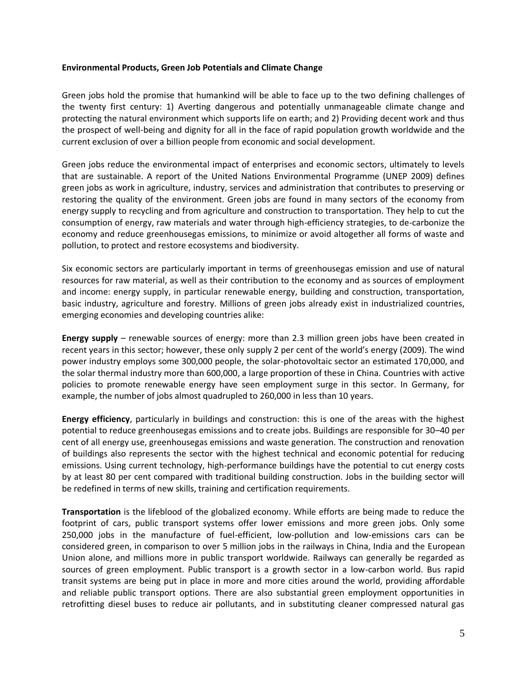#### <span id="page-4-0"></span>**Environmental Products, Green Job Potentials and Climate Change**

Green jobs hold the promise that humankind will be able to face up to the two defining challenges of the twenty first century: 1) Averting dangerous and potentially unmanageable climate change and protecting the natural environment which supports life on earth; and 2) Providing decent work and thus the prospect of well-being and dignity for all in the face of rapid population growth worldwide and the current exclusion of over a billion people from economic and social development.

Green jobs reduce the environmental impact of enterprises and economic sectors, ultimately to levels that are sustainable. A report of the United Nations Environmental Programme (UNEP 2009) defines green jobs as work in agriculture, industry, services and administration that contributes to preserving or restoring the quality of the environment. Green jobs are found in many sectors of the economy from energy supply to recycling and from agriculture and construction to transportation. They help to cut the consumption of energy, raw materials and water through high-efficiency strategies, to de-carbonize the economy and reduce greenhousegas emissions, to minimize or avoid altogether all forms of waste and pollution, to protect and restore ecosystems and biodiversity.

Six economic sectors are particularly important in terms of greenhousegas emission and use of natural resources for raw material, as well as their contribution to the economy and as sources of employment and income: energy supply, in particular renewable energy, building and construction, transportation, basic industry, agriculture and forestry. Millions of green jobs already exist in industrialized countries, emerging economies and developing countries alike:

**Energy supply** – renewable sources of energy: more than 2.3 million green jobs have been created in recent years in this sector; however, these only supply 2 per cent of the world's energy (2009). The wind power industry employs some 300,000 people, the solar-photovoltaic sector an estimated 170,000, and the solar thermal industry more than 600,000, a large proportion of these in China. Countries with active policies to promote renewable energy have seen employment surge in this sector. In Germany, for example, the number of jobs almost quadrupled to 260,000 in less than 10 years.

**Energy efficiency**, particularly in buildings and construction: this is one of the areas with the highest potential to reduce greenhousegas emissions and to create jobs. Buildings are responsible for 30–40 per cent of all energy use, greenhousegas emissions and waste generation. The construction and renovation of buildings also represents the sector with the highest technical and economic potential for reducing emissions. Using current technology, high-performance buildings have the potential to cut energy costs by at least 80 per cent compared with traditional building construction. Jobs in the building sector will be redefined in terms of new skills, training and certification requirements.

**Transportation** is the lifeblood of the globalized economy. While efforts are being made to reduce the footprint of cars, public transport systems offer lower emissions and more green jobs. Only some 250,000 jobs in the manufacture of fuel-efficient, low-pollution and low-emissions cars can be considered green, in comparison to over 5 million jobs in the railways in China, India and the European Union alone, and millions more in public transport worldwide. Railways can generally be regarded as sources of green employment. Public transport is a growth sector in a low-carbon world. Bus rapid transit systems are being put in place in more and more cities around the world, providing affordable and reliable public transport options. There are also substantial green employment opportunities in retrofitting diesel buses to reduce air pollutants, and in substituting cleaner compressed natural gas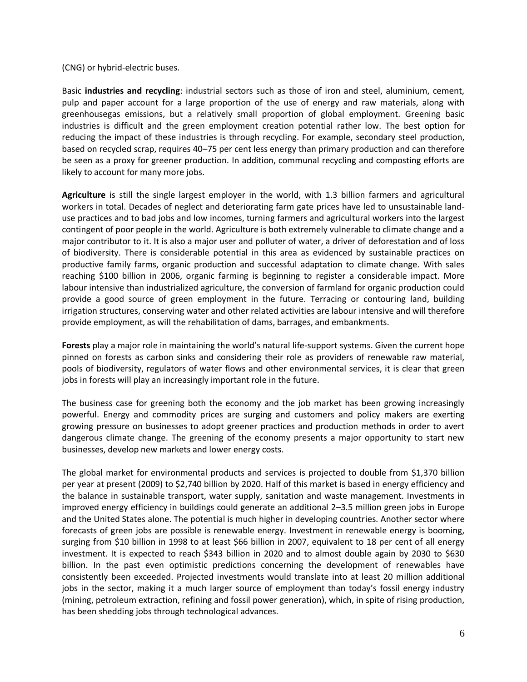(CNG) or hybrid-electric buses.

Basic **industries and recycling**: industrial sectors such as those of iron and steel, aluminium, cement, pulp and paper account for a large proportion of the use of energy and raw materials, along with greenhousegas emissions, but a relatively small proportion of global employment. Greening basic industries is difficult and the green employment creation potential rather low. The best option for reducing the impact of these industries is through recycling. For example, secondary steel production, based on recycled scrap, requires 40–75 per cent less energy than primary production and can therefore be seen as a proxy for greener production. In addition, communal recycling and composting efforts are likely to account for many more jobs.

**Agriculture** is still the single largest employer in the world, with 1.3 billion farmers and agricultural workers in total. Decades of neglect and deteriorating farm gate prices have led to unsustainable landuse practices and to bad jobs and low incomes, turning farmers and agricultural workers into the largest contingent of poor people in the world. Agriculture is both extremely vulnerable to climate change and a major contributor to it. It is also a major user and polluter of water, a driver of deforestation and of loss of biodiversity. There is considerable potential in this area as evidenced by sustainable practices on productive family farms, organic production and successful adaptation to climate change. With sales reaching \$100 billion in 2006, organic farming is beginning to register a considerable impact. More labour intensive than industrialized agriculture, the conversion of farmland for organic production could provide a good source of green employment in the future. Terracing or contouring land, building irrigation structures, conserving water and other related activities are labour intensive and will therefore provide employment, as will the rehabilitation of dams, barrages, and embankments.

**Forests** play a major role in maintaining the world's natural life-support systems. Given the current hope pinned on forests as carbon sinks and considering their role as providers of renewable raw material, pools of biodiversity, regulators of water flows and other environmental services, it is clear that green jobs in forests will play an increasingly important role in the future.

The business case for greening both the economy and the job market has been growing increasingly powerful. Energy and commodity prices are surging and customers and policy makers are exerting growing pressure on businesses to adopt greener practices and production methods in order to avert dangerous climate change. The greening of the economy presents a major opportunity to start new businesses, develop new markets and lower energy costs.

The global market for environmental products and services is projected to double from \$1,370 billion per year at present (2009) to \$2,740 billion by 2020. Half of this market is based in energy efficiency and the balance in sustainable transport, water supply, sanitation and waste management. Investments in improved energy efficiency in buildings could generate an additional 2–3.5 million green jobs in Europe and the United States alone. The potential is much higher in developing countries. Another sector where forecasts of green jobs are possible is renewable energy. Investment in renewable energy is booming, surging from \$10 billion in 1998 to at least \$66 billion in 2007, equivalent to 18 per cent of all energy investment. It is expected to reach \$343 billion in 2020 and to almost double again by 2030 to \$630 billion. In the past even optimistic predictions concerning the development of renewables have consistently been exceeded. Projected investments would translate into at least 20 million additional jobs in the sector, making it a much larger source of employment than today's fossil energy industry (mining, petroleum extraction, refining and fossil power generation), which, in spite of rising production, has been shedding jobs through technological advances.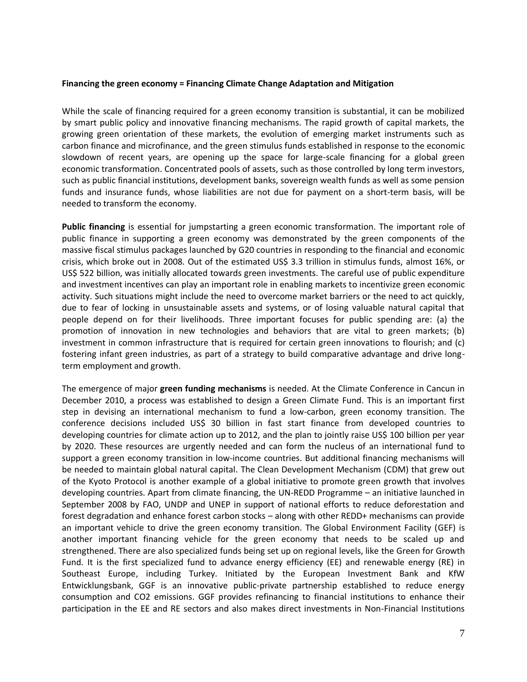#### <span id="page-6-0"></span>**Financing the green economy = Financing Climate Change Adaptation and Mitigation**

While the scale of financing required for a green economy transition is substantial, it can be mobilized by smart public policy and innovative financing mechanisms. The rapid growth of capital markets, the growing green orientation of these markets, the evolution of emerging market instruments such as carbon finance and microfinance, and the green stimulus funds established in response to the economic slowdown of recent years, are opening up the space for large-scale financing for a global green economic transformation. Concentrated pools of assets, such as those controlled by long term investors, such as public financial institutions, development banks, sovereign wealth funds as well as some pension funds and insurance funds, whose liabilities are not due for payment on a short-term basis, will be needed to transform the economy.

**Public financing** is essential for jumpstarting a green economic transformation. The important role of public finance in supporting a green economy was demonstrated by the green components of the massive fiscal stimulus packages launched by G20 countries in responding to the financial and economic crisis, which broke out in 2008. Out of the estimated US\$ 3.3 trillion in stimulus funds, almost 16%, or US\$ 522 billion, was initially allocated towards green investments. The careful use of public expenditure and investment incentives can play an important role in enabling markets to incentivize green economic activity. Such situations might include the need to overcome market barriers or the need to act quickly, due to fear of locking in unsustainable assets and systems, or of losing valuable natural capital that people depend on for their livelihoods. Three important focuses for public spending are: (a) the promotion of innovation in new technologies and behaviors that are vital to green markets; (b) investment in common infrastructure that is required for certain green innovations to flourish; and (c) fostering infant green industries, as part of a strategy to build comparative advantage and drive longterm employment and growth.

The emergence of major **green funding mechanisms** is needed. At the Climate Conference in Cancun in December 2010, a process was established to design a Green Climate Fund. This is an important first step in devising an international mechanism to fund a low-carbon, green economy transition. The conference decisions included US\$ 30 billion in fast start finance from developed countries to developing countries for climate action up to 2012, and the plan to jointly raise US\$ 100 billion per year by 2020. These resources are urgently needed and can form the nucleus of an international fund to support a green economy transition in low-income countries. But additional financing mechanisms will be needed to maintain global natural capital. The Clean Development Mechanism (CDM) that grew out of the Kyoto Protocol is another example of a global initiative to promote green growth that involves developing countries. Apart from climate financing, the UN-REDD Programme – an initiative launched in September 2008 by FAO, UNDP and UNEP in support of national efforts to reduce deforestation and forest degradation and enhance forest carbon stocks – along with other REDD+ mechanisms can provide an important vehicle to drive the green economy transition. The Global Environment Facility (GEF) is another important financing vehicle for the green economy that needs to be scaled up and strengthened. There are also specialized funds being set up on regional levels, like the Green for Growth Fund. It is the first specialized fund to advance energy efficiency (EE) and renewable energy (RE) in Southeast Europe, including Turkey. Initiated by the European Investment Bank and KfW Entwicklungsbank, GGF is an innovative public-private partnership established to reduce energy consumption and CO2 emissions. GGF provides refinancing to financial institutions to enhance their participation in the EE and RE sectors and also makes direct investments in Non-Financial Institutions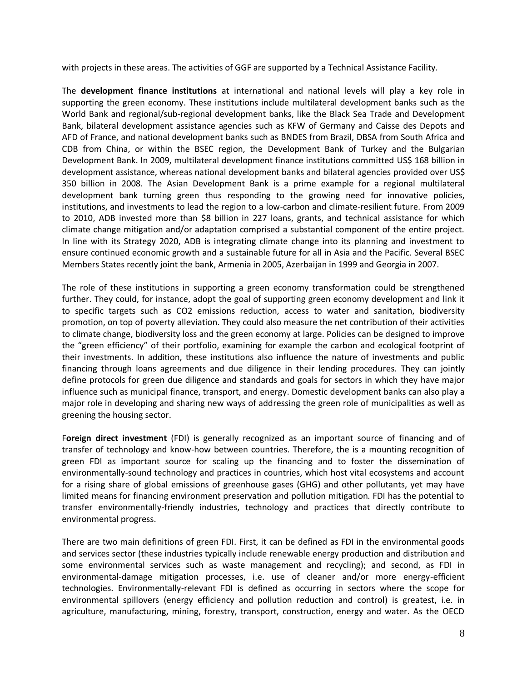with projects in these areas. The activities of GGF are supported by a Technical Assistance Facility.

The **development finance institutions** at international and national levels will play a key role in supporting the green economy. These institutions include multilateral development banks such as the World Bank and regional/sub-regional development banks, like the Black Sea Trade and Development Bank, bilateral development assistance agencies such as KFW of Germany and Caisse des Depots and AFD of France, and national development banks such as BNDES from Brazil, DBSA from South Africa and CDB from China, or within the BSEC region, the Development Bank of Turkey and the Bulgarian Development Bank. In 2009, multilateral development finance institutions committed US\$ 168 billion in development assistance, whereas national development banks and bilateral agencies provided over US\$ 350 billion in 2008. The Asian Development Bank is a prime example for a regional multilateral development bank turning green thus responding to the growing need for innovative policies, institutions, and investments to lead the region to a low-carbon and climate-resilient future. From 2009 to 2010, ADB invested more than \$8 billion in 227 loans, grants, and technical assistance for which climate change mitigation and/or adaptation comprised a substantial component of the entire project. In line with its Strategy 2020, ADB is integrating climate change into its planning and investment to ensure continued economic growth and a sustainable future for all in Asia and the Pacific. Several BSEC Members States recently joint the bank, Armenia in 2005, Azerbaijan in 1999 and Georgia in 2007.

The role of these institutions in supporting a green economy transformation could be strengthened further. They could, for instance, adopt the goal of supporting green economy development and link it to specific targets such as CO2 emissions reduction, access to water and sanitation, biodiversity promotion, on top of poverty alleviation. They could also measure the net contribution of their activities to climate change, biodiversity loss and the green economy at large. Policies can be designed to improve the "green efficiency" of their portfolio, examining for example the carbon and ecological footprint of their investments. In addition, these institutions also influence the nature of investments and public financing through loans agreements and due diligence in their lending procedures. They can jointly define protocols for green due diligence and standards and goals for sectors in which they have major influence such as municipal finance, transport, and energy. Domestic development banks can also play a major role in developing and sharing new ways of addressing the green role of municipalities as well as greening the housing sector.

F**oreign direct investment** (FDI) is generally recognized as an important source of financing and of transfer of technology and know-how between countries. Therefore, the is a mounting recognition of green FDI as important source for scaling up the financing and to foster the dissemination of environmentally-sound technology and practices in countries, which host vital ecosystems and account for a rising share of global emissions of greenhouse gases (GHG) and other pollutants, yet may have limited means for financing environment preservation and pollution mitigation. FDI has the potential to transfer environmentally-friendly industries, technology and practices that directly contribute to environmental progress.

There are two main definitions of green FDI. First, it can be defined as FDI in the environmental goods and services sector (these industries typically include renewable energy production and distribution and some environmental services such as waste management and recycling); and second, as FDI in environmental-damage mitigation processes, i.e. use of cleaner and/or more energy-efficient technologies. Environmentally-relevant FDI is defined as occurring in sectors where the scope for environmental spillovers (energy efficiency and pollution reduction and control) is greatest, i.e. in agriculture, manufacturing, mining, forestry, transport, construction, energy and water. As the OECD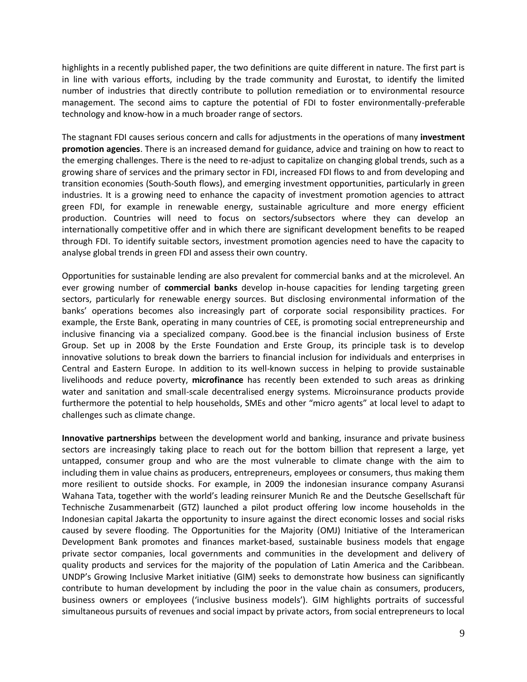highlights in a recently published paper, the two definitions are quite different in nature. The first part is in line with various efforts, including by the trade community and Eurostat, to identify the limited number of industries that directly contribute to pollution remediation or to environmental resource management. The second aims to capture the potential of FDI to foster environmentally-preferable technology and know-how in a much broader range of sectors.

The stagnant FDI causes serious concern and calls for adjustments in the operations of many **investment promotion agencies**. There is an increased demand for guidance, advice and training on how to react to the emerging challenges. There is the need to re-adjust to capitalize on changing global trends, such as a growing share of services and the primary sector in FDI, increased FDI flows to and from developing and transition economies (South-South flows), and emerging investment opportunities, particularly in green industries. It is a growing need to enhance the capacity of investment promotion agencies to attract green FDI, for example in renewable energy, sustainable agriculture and more energy efficient production. Countries will need to focus on sectors/subsectors where they can develop an internationally competitive offer and in which there are significant development benefits to be reaped through FDI. To identify suitable sectors, investment promotion agencies need to have the capacity to analyse global trends in green FDI and assess their own country.

Opportunities for sustainable lending are also prevalent for commercial banks and at the microlevel. An ever growing number of **commercial banks** develop in-house capacities for lending targeting green sectors, particularly for renewable energy sources. But disclosing environmental information of the banks' operations becomes also increasingly part of corporate social responsibility practices. For example, the Erste Bank, operating in many countries of CEE, is promoting social entrepreneurship and inclusive financing via a specialized company. Good.bee is the financial inclusion business of Erste Group. Set up in 2008 by the Erste Foundation and Erste Group, its principle task is to develop innovative solutions to break down the barriers to financial inclusion for individuals and enterprises in Central and Eastern Europe. In addition to its well-known success in helping to provide sustainable livelihoods and reduce poverty, **microfinance** has recently been extended to such areas as drinking water and sanitation and small-scale decentralised energy systems. Microinsurance products provide furthermore the potential to help households, SMEs and other "micro agents" at local level to adapt to challenges such as climate change.

**Innovative partnerships** between the development world and banking, insurance and private business sectors are increasingly taking place to reach out for the bottom billion that represent a large, yet untapped, consumer group and who are the most vulnerable to climate change with the aim to including them in value chains as producers, entrepreneurs, employees or consumers, thus making them more resilient to outside shocks. For example, in 2009 the indonesian insurance company Asuransi Wahana Tata, together with the world's leading reinsurer Munich Re and the Deutsche Gesellschaft für Technische Zusammenarbeit (GTZ) launched a pilot product offering low income households in the Indonesian capital Jakarta the opportunity to insure against the direct economic losses and social risks caused by severe flooding. The Opportunities for the Majority (OMJ) Initiative of the Interamerican Development Bank promotes and finances market-based, sustainable business models that engage private sector companies, local governments and communities in the development and delivery of quality products and services for the majority of the population of Latin America and the Caribbean. UNDP's Growing Inclusive Market initiative (GIM) seeks to demonstrate how business can significantly contribute to human development by including the poor in the value chain as consumers, producers, business owners or employees ('inclusive business models'). GIM highlights portraits of successful simultaneous pursuits of revenues and social impact by private actors, from social entrepreneurs to local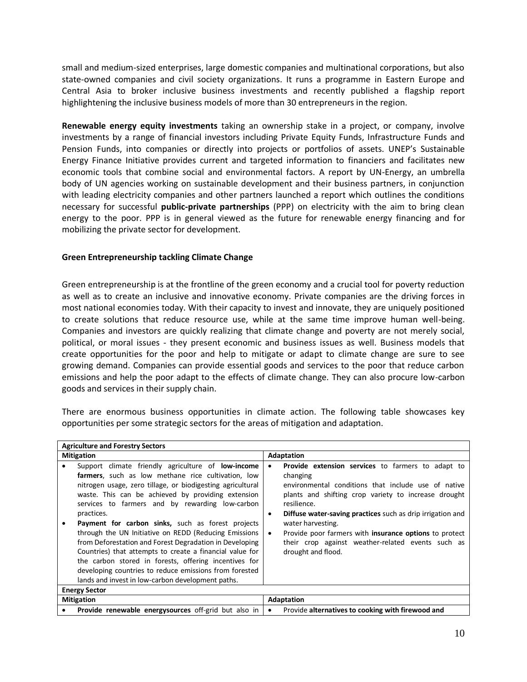small and medium-sized enterprises, large domestic companies and multinational corporations, but also state-owned companies and civil society organizations. It runs a programme in Eastern Europe and Central Asia to broker inclusive business investments and recently published a flagship report highlightening the inclusive business models of more than 30 entrepreneurs in the region.

**Renewable energy equity investments** taking an ownership stake in a project, or company, involve investments by a range of financial investors including Private Equity Funds, Infrastructure Funds and Pension Funds, into companies or directly into projects or portfolios of assets. UNEP's Sustainable Energy Finance Initiative provides current and targeted information to financiers and facilitates new economic tools that combine social and environmental factors. A report by UN-Energy, an umbrella body of UN agencies working on sustainable development and their business partners, in conjunction with leading electricity companies and other partners launched a report which outlines the conditions necessary for successful **public-private partnerships** (PPP) on electricity with the aim to bring clean energy to the poor. PPP is in general viewed as the future for renewable energy financing and for mobilizing the private sector for development.

#### <span id="page-9-0"></span>**Green Entrepreneurship tackling Climate Change**

Green entrepreneurship is at the frontline of the green economy and a crucial tool for poverty reduction as well as to create an inclusive and innovative economy. Private companies are the driving forces in most national economies today. With their capacity to invest and innovate, they are uniquely positioned to create solutions that reduce resource use, while at the same time improve human well-being. Companies and investors are quickly realizing that climate change and poverty are not merely social, political, or moral issues - they present economic and business issues as well. Business models that create opportunities for the poor and help to mitigate or adapt to climate change are sure to see growing demand. Companies can provide essential goods and services to the poor that reduce carbon emissions and help the poor adapt to the effects of climate change. They can also procure low-carbon goods and services in their supply chain.

There are enormous business opportunities in climate action. The following table showcases key opportunities per some strategic sectors for the areas of mitigation and adaptation.

|                   | <b>Agriculture and Forestry Sectors</b>                                                                                                                                                                                                                                                                                                                                                                                                                                                                                                                                                                                                                                                                                  |                             |                                                                                                                                                                                                                                                                                                                                                                                                                                          |  |  |
|-------------------|--------------------------------------------------------------------------------------------------------------------------------------------------------------------------------------------------------------------------------------------------------------------------------------------------------------------------------------------------------------------------------------------------------------------------------------------------------------------------------------------------------------------------------------------------------------------------------------------------------------------------------------------------------------------------------------------------------------------------|-----------------------------|------------------------------------------------------------------------------------------------------------------------------------------------------------------------------------------------------------------------------------------------------------------------------------------------------------------------------------------------------------------------------------------------------------------------------------------|--|--|
|                   | <b>Mitigation</b>                                                                                                                                                                                                                                                                                                                                                                                                                                                                                                                                                                                                                                                                                                        | <b>Adaptation</b>           |                                                                                                                                                                                                                                                                                                                                                                                                                                          |  |  |
|                   | Support climate friendly agriculture of <b>low-income</b><br>farmers, such as low methane rice cultivation, low<br>nitrogen usage, zero tillage, or biodigesting agricultural<br>waste. This can be achieved by providing extension<br>services to farmers and by rewarding low-carbon<br>practices.<br><b>Payment for carbon sinks,</b> such as forest projects<br>through the UN Initiative on REDD (Reducing Emissions<br>from Deforestation and Forest Degradation in Developing<br>Countries) that attempts to create a financial value for<br>the carbon stored in forests, offering incentives for<br>developing countries to reduce emissions from forested<br>lands and invest in low-carbon development paths. | ٠<br>$\bullet$<br>$\bullet$ | <b>Provide extension services</b> to farmers to adapt to<br>changing<br>environmental conditions that include use of native<br>plants and shifting crop variety to increase drought<br>resilience.<br><b>Diffuse water-saving practices</b> such as drip irrigation and<br>water harvesting.<br>Provide poor farmers with <b>insurance options</b> to protect<br>their crop against weather-related events such as<br>drought and flood. |  |  |
|                   | <b>Energy Sector</b>                                                                                                                                                                                                                                                                                                                                                                                                                                                                                                                                                                                                                                                                                                     |                             |                                                                                                                                                                                                                                                                                                                                                                                                                                          |  |  |
| <b>Mitigation</b> |                                                                                                                                                                                                                                                                                                                                                                                                                                                                                                                                                                                                                                                                                                                          |                             | Adaptation                                                                                                                                                                                                                                                                                                                                                                                                                               |  |  |
| ٠                 | Provide renewable energysources off-grid but also in                                                                                                                                                                                                                                                                                                                                                                                                                                                                                                                                                                                                                                                                     | $\bullet$                   | Provide alternatives to cooking with firewood and                                                                                                                                                                                                                                                                                                                                                                                        |  |  |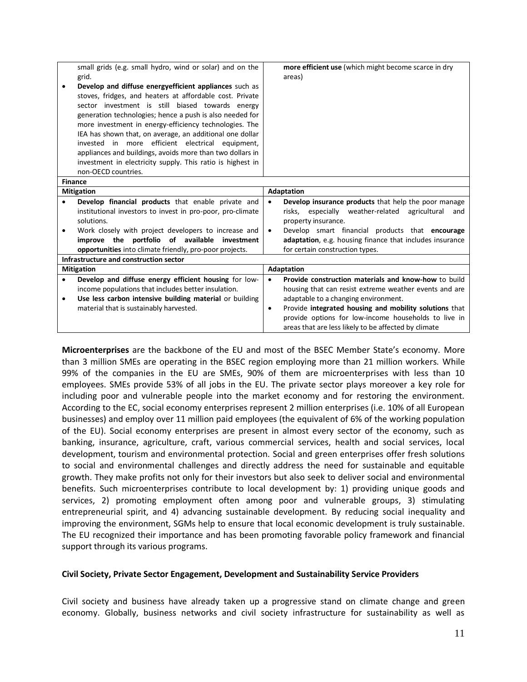|                                        | small grids (e.g. small hydro, wind or solar) and on the   | more efficient use (which might become scarce in dry                |  |  |
|----------------------------------------|------------------------------------------------------------|---------------------------------------------------------------------|--|--|
|                                        | grid.                                                      | areas)                                                              |  |  |
|                                        | Develop and diffuse energy efficient appliances such as    |                                                                     |  |  |
|                                        | stoves, fridges, and heaters at affordable cost. Private   |                                                                     |  |  |
|                                        | sector investment is still biased towards energy           |                                                                     |  |  |
|                                        | generation technologies; hence a push is also needed for   |                                                                     |  |  |
|                                        | more investment in energy-efficiency technologies. The     |                                                                     |  |  |
|                                        | IEA has shown that, on average, an additional one dollar   |                                                                     |  |  |
|                                        | invested in more efficient electrical equipment,           |                                                                     |  |  |
|                                        | appliances and buildings, avoids more than two dollars in  |                                                                     |  |  |
|                                        | investment in electricity supply. This ratio is highest in |                                                                     |  |  |
|                                        | non-OECD countries.                                        |                                                                     |  |  |
| <b>Finance</b>                         |                                                            |                                                                     |  |  |
| <b>Mitigation</b>                      |                                                            | <b>Adaptation</b>                                                   |  |  |
|                                        | Develop financial products that enable private and         | Develop insurance products that help the poor manage<br>$\bullet$   |  |  |
|                                        | institutional investors to invest in pro-poor, pro-climate | risks, especially weather-related<br>agricultural<br>and            |  |  |
|                                        | solutions.                                                 | property insurance.                                                 |  |  |
|                                        | Work closely with project developers to increase and       | Develop smart financial products that encourage<br>$\bullet$        |  |  |
|                                        | improve the portfolio of available<br>investment           | adaptation, e.g. housing finance that includes insurance            |  |  |
|                                        | opportunities into climate friendly, pro-poor projects.    | for certain construction types.                                     |  |  |
| Infrastructure and construction sector |                                                            |                                                                     |  |  |
| <b>Mitigation</b>                      |                                                            | <b>Adaptation</b>                                                   |  |  |
| $\bullet$                              | Develop and diffuse energy efficient housing for low-      | Provide construction materials and know-how to build<br>$\bullet$   |  |  |
|                                        |                                                            |                                                                     |  |  |
|                                        | income populations that includes better insulation.        | housing that can resist extreme weather events and are              |  |  |
| ٠                                      | Use less carbon intensive building material or building    | adaptable to a changing environment.                                |  |  |
|                                        | material that is sustainably harvested.                    | Provide integrated housing and mobility solutions that<br>$\bullet$ |  |  |
|                                        |                                                            | provide options for low-income households to live in                |  |  |

**Microenterprises** are the backbone of the EU and most of the BSEC Member State's economy. More than 3 million SMEs are operating in the BSEC region employing more than 21 million workers. While 99% of the companies in the EU are SMEs, 90% of them are microenterprises with less than 10 employees. SMEs provide 53% of all jobs in the EU. The private sector plays moreover a key role for including poor and vulnerable people into the market economy and for restoring the environment. According to the EC, social economy enterprises represent 2 million enterprises (i.e. 10% of all European businesses) and employ over 11 million paid employees (the equivalent of 6% of the working population of the EU). Social economy enterprises are present in almost every sector of the economy, such as banking, insurance, agriculture, craft, various commercial services, health and social services, local development, tourism and environmental protection. Social and green enterprises offer fresh solutions to social and environmental challenges and directly address the need for sustainable and equitable growth. They make profits not only for their investors but also seek to deliver social and environmental benefits. Such microenterprises contribute to local development by: 1) providing unique goods and services, 2) promoting employment often among poor and vulnerable groups, 3) stimulating entrepreneurial spirit, and 4) advancing sustainable development. By reducing social inequality and improving the environment, SGMs help to ensure that local economic development is truly sustainable. The EU recognized their importance and has been promoting favorable policy framework and financial support through its various programs.

#### <span id="page-10-0"></span>**Civil Society, Private Sector Engagement, Development and Sustainability Service Providers**

Civil society and business have already taken up a progressive stand on climate change and green economy. Globally, business networks and civil society infrastructure for sustainability as well as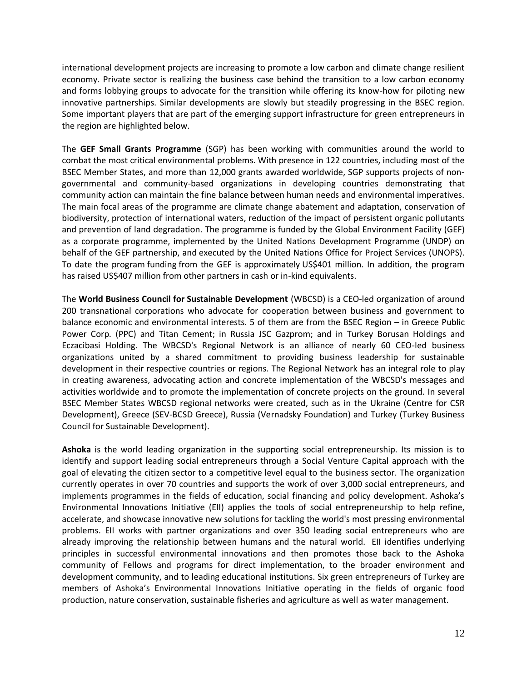international development projects are increasing to promote a low carbon and climate change resilient economy. Private sector is realizing the business case behind the transition to a low carbon economy and forms lobbying groups to advocate for the transition while offering its know-how for piloting new innovative partnerships. Similar developments are slowly but steadily progressing in the BSEC region. Some important players that are part of the emerging support infrastructure for green entrepreneurs in the region are highlighted below.

The **GEF Small Grants Programme** (SGP) has been working with communities around the world to combat the most critical environmental problems. With presence in 122 countries, including most of the BSEC Member States, and more than 12,000 grants awarded worldwide, SGP supports projects of nongovernmental and community-based organizations in developing countries demonstrating that community action can maintain the fine balance between human needs and environmental imperatives. The main focal areas of the programme are climate change abatement and adaptation, conservation of biodiversity, protection of international waters, reduction of the impact of persistent organic pollutants and prevention of land degradation. The programme is funded by the Global Environment Facility (GEF) as a corporate programme, implemented by the United Nations Development Programme (UNDP) on behalf of the GEF partnership, and executed by the United Nations Office for Project Services (UNOPS). To date the program funding from the GEF is approximately US\$401 million. In addition, the program has raised US\$407 million from other partners in cash or in-kind equivalents.

The **World Business Council for Sustainable Development** (WBCSD) is a CEO-led organization of around 200 transnational corporations who advocate for cooperation between business and government to balance economic and environmental interests. 5 of them are from the BSEC Region – in Greece Public Power Corp. (PPC) and Titan Cement; in Russia [JSC Gazprom;](http://www.gazprom.com/) and in Turkey Borusan Holdings and [Eczacibasi Holding.](http://www.eczacibasi.com/) The WBCSD's Regional Network is an alliance of nearly 60 CEO-led business organizations united by a shared commitment to providing business leadership for sustainable development in their respective countries or regions. The Regional Network has an integral role to play in creating awareness, advocating action and concrete implementation of the WBCSD's messages and activities worldwide and to promote the implementation of concrete projects on the ground. In several BSEC Member States WBCSD regional networks were created, such as in the Ukraine (Centre for CSR Development), Greece (SEV-BCSD Greece), Russia (Vernadsky Foundation) and Turkey (Turkey Business Council for Sustainable Development).

**Ashoka** is the world leading organization in the supporting social entrepreneurship. Its mission is to identify and support leading social entrepreneurs through a Social Venture Capital approach with the goal of elevating the citizen sector to a competitive level equal to the business sector. The organization currently operates in over 70 countries and supports the work of over 3,000 social entrepreneurs, and implements programmes in the fields of education, social financing and policy development. Ashoka's Environmental Innovations Initiative (EII) applies the tools of social entrepreneurship to help refine, accelerate, and showcase innovative new solutions for tackling the world's most pressing environmental problems. EII works with partner organizations and over 350 leading social entrepreneurs who are already improving the relationship between humans and the natural world. Ell identifies underlying principles in successful environmental innovations and then promotes those back to the Ashoka community of Fellows and programs for direct implementation, to the broader environment and development community, and to leading educational institutions. Six green entrepreneurs of Turkey are members of Ashoka's Environmental Innovations Initiative operating in the fields of organic food production, nature conservation, sustainable fisheries and agriculture as well as water management.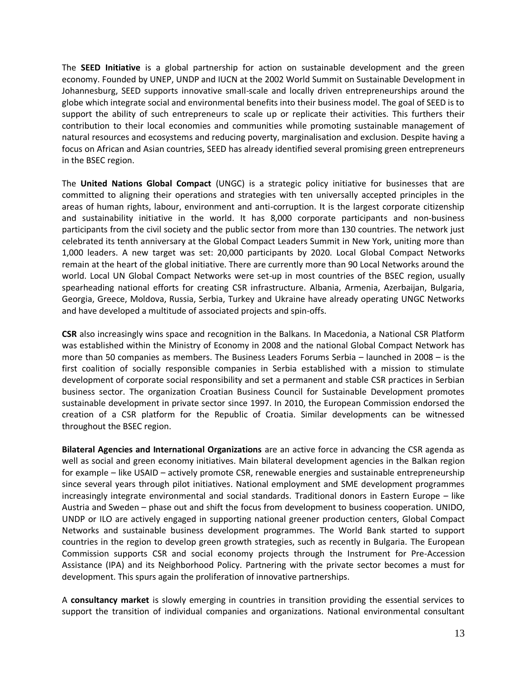The **SEED Initiative** is a global partnership for action on sustainable development and the green economy. Founded by UNEP, UNDP and IUCN at the 2002 World Summit on Sustainable Development in Johannesburg, SEED supports innovative small-scale and locally driven entrepreneurships around the globe which integrate social and environmental benefits into their business model. The goal of SEED is to support the ability of such entrepreneurs to scale up or replicate their activities. This furthers their contribution to their local economies and communities while promoting sustainable management of natural resources and ecosystems and reducing poverty, marginalisation and exclusion. Despite having a focus on African and Asian countries, SEED has already identified several promising green entrepreneurs in the BSEC region.

The **United Nations Global Compact** (UNGC) is a strategic policy initiative for businesses that are committed to aligning their operations and strategies with ten universally accepted principles in the areas of human rights, labour, environment and anti-corruption. It is the largest corporate citizenship and sustainability initiative in the world. It has 8,000 corporate participants and non-business participants from the civil society and the public sector from more than 130 countries. The network just celebrated its tenth anniversary at the Global Compact Leaders Summit in New York, uniting more than 1,000 leaders. A new target was set: 20,000 participants by 2020. Local Global Compact Networks remain at the heart of the global initiative. There are currently more than 90 Local Networks around the world. Local UN Global Compact Networks were set-up in most countries of the BSEC region, usually spearheading national efforts for creating CSR infrastructure. Albania, Armenia, Azerbaijan, Bulgaria, Georgia, Greece, Moldova, Russia, Serbia, Turkey and Ukraine have already operating UNGC Networks and have developed a multitude of associated projects and spin-offs.

**CSR** also increasingly wins space and recognition in the Balkans. In Macedonia, a National CSR Platform was established within the Ministry of Economy in 2008 and the national Global Compact Network has more than 50 companies as members. The Business Leaders Forums Serbia – launched in 2008 – is the first coalition of socially responsible companies in Serbia established with a mission to stimulate development of corporate social responsibility and set a permanent and stable CSR practices in Serbian business sector. The organization Croatian Business Council for Sustainable Development promotes sustainable development in private sector since 1997. In 2010, the European Commission endorsed the creation of a CSR platform for the Republic of Croatia. Similar developments can be witnessed throughout the BSEC region.

**Bilateral Agencies and International Organizations** are an active force in advancing the CSR agenda as well as social and green economy initiatives. Main bilateral development agencies in the Balkan region for example – like USAID – actively promote CSR, renewable energies and sustainable entrepreneurship since several years through pilot initiatives. National employment and SME development programmes increasingly integrate environmental and social standards. Traditional donors in Eastern Europe – like Austria and Sweden – phase out and shift the focus from development to business cooperation. UNIDO, UNDP or ILO are actively engaged in supporting national greener production centers, Global Compact Networks and sustainable business development programmes. The World Bank started to support countries in the region to develop green growth strategies, such as recently in Bulgaria. The European Commission supports CSR and social economy projects through the Instrument for Pre-Accession Assistance (IPA) and its Neighborhood Policy. Partnering with the private sector becomes a must for development. This spurs again the proliferation of innovative partnerships.

A **consultancy market** is slowly emerging in countries in transition providing the essential services to support the transition of individual companies and organizations. National environmental consultant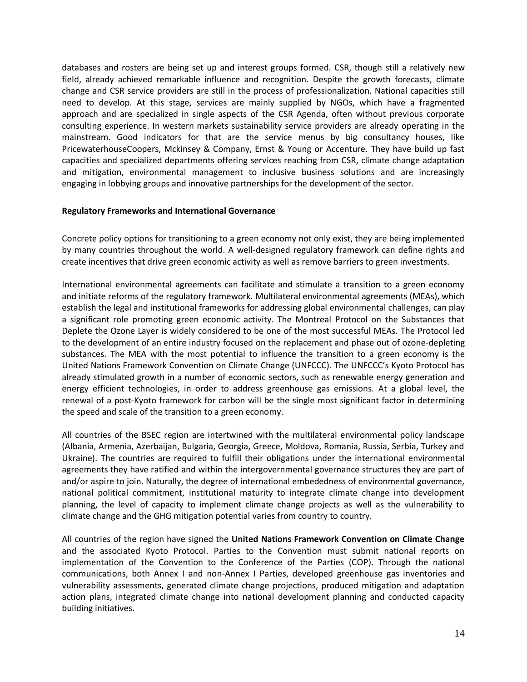databases and rosters are being set up and interest groups formed. CSR, though still a relatively new field, already achieved remarkable influence and recognition. Despite the growth forecasts, climate change and CSR service providers are still in the process of professionalization. National capacities still need to develop. At this stage, services are mainly supplied by NGOs, which have a fragmented approach and are specialized in single aspects of the CSR Agenda, often without previous corporate consulting experience. In western markets sustainability service providers are already operating in the mainstream. Good indicators for that are the service menus by big consultancy houses, like PricewaterhouseCoopers, Mckinsey & Company, Ernst & Young or Accenture. They have build up fast capacities and specialized departments offering services reaching from CSR, climate change adaptation and mitigation, environmental management to inclusive business solutions and are increasingly engaging in lobbying groups and innovative partnerships for the development of the sector.

## <span id="page-13-0"></span>**Regulatory Frameworks and International Governance**

Concrete policy options for transitioning to a green economy not only exist, they are being implemented by many countries throughout the world. A well-designed regulatory framework can define rights and create incentives that drive green economic activity as well as remove barriers to green investments.

International environmental agreements can facilitate and stimulate a transition to a green economy and initiate reforms of the regulatory framework. Multilateral environmental agreements (MEAs), which establish the legal and institutional frameworks for addressing global environmental challenges, can play a significant role promoting green economic activity. The Montreal Protocol on the Substances that Deplete the Ozone Layer is widely considered to be one of the most successful MEAs. The Protocol led to the development of an entire industry focused on the replacement and phase out of ozone-depleting substances. The MEA with the most potential to influence the transition to a green economy is the United Nations Framework Convention on Climate Change (UNFCCC). The UNFCCC's Kyoto Protocol has already stimulated growth in a number of economic sectors, such as renewable energy generation and energy efficient technologies, in order to address greenhouse gas emissions. At a global level, the renewal of a post-Kyoto framework for carbon will be the single most significant factor in determining the speed and scale of the transition to a green economy.

All countries of the BSEC region are intertwined with the multilateral environmental policy landscape (Albania, Armenia, Azerbaijan, Bulgaria, Georgia, Greece, Moldova, Romania, Russia, Serbia, Turkey and Ukraine). The countries are required to fulfill their obligations under the international environmental agreements they have ratified and within the intergovernmental governance structures they are part of and/or aspire to join. Naturally, the degree of international embededness of environmental governance, national political commitment, institutional maturity to integrate climate change into development planning, the level of capacity to implement climate change projects as well as the vulnerability to climate change and the GHG mitigation potential varies from country to country.

All countries of the region have signed the **United Nations Framework Convention on Climate Change** and the associated Kyoto Protocol. Parties to the Convention must submit national reports on implementation of the Convention to the Conference of the Parties (COP). Through the national communications, both Annex I and non-Annex I Parties, developed greenhouse gas inventories and vulnerability assessments, generated climate change projections, produced mitigation and adaptation action plans, integrated climate change into national development planning and conducted capacity building initiatives.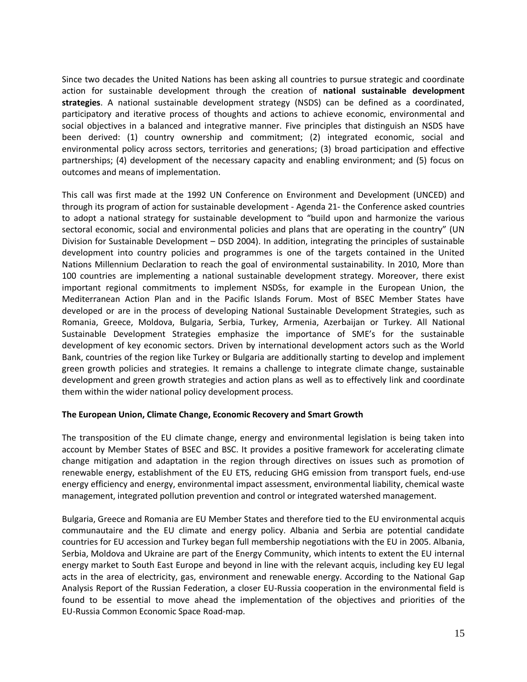Since two decades the United Nations has been asking all countries to pursue strategic and coordinate action for sustainable development through the creation of **national sustainable development strategies**. A national sustainable development strategy (NSDS) can be defined as a coordinated, participatory and iterative process of thoughts and actions to achieve economic, environmental and social objectives in a balanced and integrative manner. Five principles that distinguish an NSDS have been derived: (1) country ownership and commitment; (2) integrated economic, social and environmental policy across sectors, territories and generations; (3) broad participation and effective partnerships; (4) development of the necessary capacity and enabling environment; and (5) focus on outcomes and means of implementation.

This call was first made at the 1992 UN Conference on Environment and Development (UNCED) and through its program of action for sustainable development - Agenda 21- the Conference asked countries to adopt a national strategy for sustainable development to "build upon and harmonize the various sectoral economic, social and environmental policies and plans that are operating in the country" (UN Division for Sustainable Development – DSD 2004). In addition, integrating the principles of sustainable development into country policies and programmes is one of the targets contained in the United Nations Millennium Declaration to reach the goal of environmental sustainability. In 2010, More than 100 countries are implementing a national sustainable development strategy. Moreover, there exist important regional commitments to implement NSDSs, for example in the European Union, the Mediterranean Action Plan and in the Pacific Islands Forum. Most of BSEC Member States have developed or are in the process of developing National Sustainable Development Strategies, such as Romania, Greece, Moldova, Bulgaria, Serbia, Turkey, Armenia, Azerbaijan or Turkey. All National Sustainable Development Strategies emphasize the importance of SME's for the sustainable development of key economic sectors. Driven by international development actors such as the World Bank, countries of the region like Turkey or Bulgaria are additionally starting to develop and implement green growth policies and strategies. It remains a challenge to integrate climate change, sustainable development and green growth strategies and action plans as well as to effectively link and coordinate them within the wider national policy development process.

## <span id="page-14-0"></span>**The European Union, Climate Change, Economic Recovery and Smart Growth**

The transposition of the EU climate change, energy and environmental legislation is being taken into account by Member States of BSEC and BSC. It provides a positive framework for accelerating climate change mitigation and adaptation in the region through directives on issues such as promotion of renewable energy, establishment of the EU ETS, reducing GHG emission from transport fuels, end-use energy efficiency and energy, environmental impact assessment, environmental liability, chemical waste management, integrated pollution prevention and control or integrated watershed management.

Bulgaria, Greece and Romania are EU Member States and therefore tied to the EU environmental acquis communautaire and the EU climate and energy policy. Albania and Serbia are potential candidate countries for EU accession and Turkey began full membership negotiations with the EU in 2005. Albania, Serbia, Moldova and Ukraine are part of the Energy Community, which intents to extent the EU internal energy market to South East Europe and beyond in line with the relevant acquis, including key EU legal acts in the area of electricity, gas, environment and renewable energy. According to the National Gap Analysis Report of the Russian Federation, a closer EU‐Russia cooperation in the environmental field is found to be essential to move ahead the implementation of the objectives and priorities of the EU‐Russia Common Economic Space Road‐map.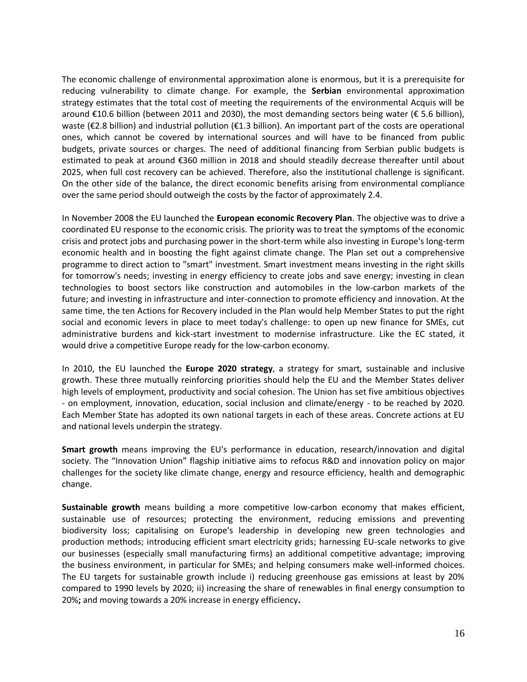The economic challenge of environmental approximation alone is enormous, but it is a prerequisite for reducing vulnerability to climate change. For example, the **Serbian** environmental approximation strategy estimates that the total cost of meeting the requirements of the environmental Acquis will be around €10.6 billion (between 2011 and 2030), the most demanding sectors being water (€ 5.6 billion), waste (€2.8 billion) and industrial pollution (€1.3 billion). An important part of the costs are operational ones, which cannot be covered by international sources and will have to be financed from public budgets, private sources or charges. The need of additional financing from Serbian public budgets is estimated to peak at around €360 million in 2018 and should steadily decrease thereafter until about 2025, when full cost recovery can be achieved. Therefore, also the institutional challenge is significant. On the other side of the balance, the direct economic benefits arising from environmental compliance over the same period should outweigh the costs by the factor of approximately 2.4.

In November 2008 the EU launched the **European economic Recovery Plan**. The objective was to drive a coordinated EU response to the economic crisis. The priority was to treat the symptoms of the economic crisis and protect jobs and purchasing power in the short-term while also investing in Europe's long-term economic health and in boosting the fight against climate change. The Plan set out a comprehensive programme to direct action to "smart" investment. Smart investment means investing in the right skills for tomorrow's needs; investing in energy efficiency to create jobs and save energy; investing in clean technologies to boost sectors like construction and automobiles in the low-carbon markets of the future; and investing in infrastructure and inter-connection to promote efficiency and innovation. At the same time, the ten Actions for Recovery included in the Plan would help Member States to put the right social and economic levers in place to meet today's challenge: to open up new finance for SMEs, cut administrative burdens and kick-start investment to modernise infrastructure. Like the EC stated, it would drive a competitive Europe ready for the low-carbon economy*.* 

In 2010, the EU launched the **Europe 2020 strategy**, a strategy for smart, sustainable and inclusive growth. These three mutually reinforcing priorities should help the EU and the Member States deliver high levels of employment, productivity and social cohesion. The Union has set five ambitious objectives - on employment, innovation, education, social inclusion and climate/energy - to be reached by 2020. Each Member State has adopted its own national targets in each of these areas. Concrete actions at EU and national levels underpin the strategy.

**Smart growth** means improving the EU's performance in education, research/innovation and digital society. The "Innovation Union" flagship initiative aims to refocus R&D and innovation policy on major challenges for the society like climate change, energy and resource efficiency, health and demographic change.

**Sustainable growth** means building a more competitive low-carbon economy that makes efficient, sustainable use of resources; protecting the environment, reducing emissions and preventing biodiversity loss; capitalising on Europe's leadership in developing new green technologies and production methods; introducing efficient smart electricity grids; harnessing EU-scale networks to give our businesses (especially small manufacturing firms) an additional competitive advantage; improving the business environment, in particular for SMEs; and helping consumers make well-informed choices. The EU targets for sustainable growth include i) reducing greenhouse gas emissions at least by 20% compared to 1990 levels by 2020; ii) increasing the share of renewables in final energy consumption to 20%**;** and moving towards a 20% increase in energy efficiency**.**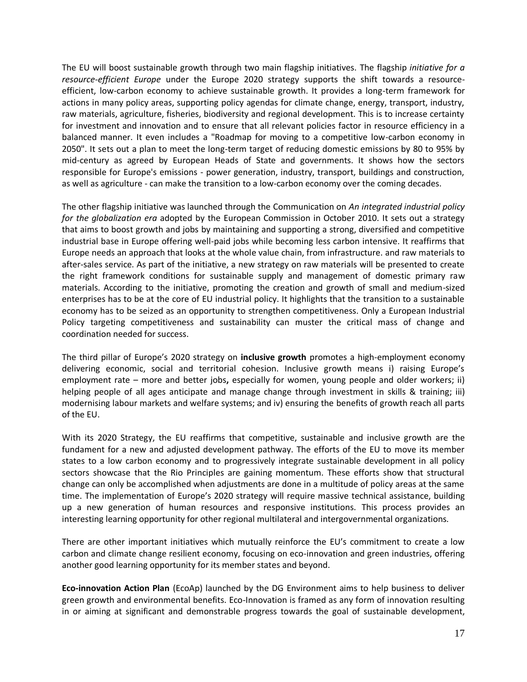The EU will boost sustainable growth through two main flagship initiatives. The flagship *initiative for a resource-efficient Europe* under the Europe 2020 strategy supports the shift towards a resourceefficient, low-carbon economy to achieve sustainable growth. It provides a long-term framework for actions in many policy areas, supporting policy agendas for climate change, energy, transport, industry, raw materials, agriculture, fisheries, biodiversity and regional development. This is to increase certainty for investment and innovation and to ensure that all relevant policies factor in resource efficiency in a balanced manner. It even includes a "Roadmap for moving to a competitive low-carbon economy in 2050". It sets out a plan to meet the long-term target of reducing domestic emissions by 80 to 95% by mid-century as agreed by European Heads of State and governments. It shows how the sectors responsible for Europe's emissions - power generation, industry, transport, buildings and construction, as well as agriculture - can make the transition to a low-carbon economy over the coming decades.

The other flagship initiative was launched through the Communication on *An integrated industrial policy for the globalization era* adopted by the European Commission in October 2010. It sets out a strategy that aims to boost growth and jobs by maintaining and supporting a strong, diversified and competitive industrial base in Europe offering well-paid jobs while becoming less carbon intensive. It reaffirms that Europe needs an approach that looks at the whole value chain, from infrastructure. and raw materials to after-sales service. As part of the initiative, a new strategy on raw materials will be presented to create the right framework conditions for sustainable supply and management of domestic primary raw materials. According to the initiative, promoting the creation and growth of small and medium-sized enterprises has to be at the core of EU industrial policy. It highlights that the transition to a sustainable economy has to be seized as an opportunity to strengthen competitiveness. Only a European Industrial Policy targeting competitiveness and sustainability can muster the critical mass of change and coordination needed for success.

The third pillar of Europe's 2020 strategy on **inclusive growth** promotes a high-employment economy delivering economic, social and territorial cohesion. Inclusive growth means i) raising Europe's employment rate – more and better jobs**,** especially for women, young people and older workers; ii) helping people of all ages anticipate and manage change through investment in skills & training; iii) modernising labour markets and welfare systems; and iv) ensuring the benefits of growth reach all parts of the EU.

With its 2020 Strategy, the EU reaffirms that competitive, sustainable and inclusive growth are the fundament for a new and adjusted development pathway. The efforts of the EU to move its member states to a low carbon economy and to progressively integrate sustainable development in all policy sectors showcase that the Rio Principles are gaining momentum. These efforts show that structural change can only be accomplished when adjustments are done in a multitude of policy areas at the same time. The implementation of Europe's 2020 strategy will require massive technical assistance, building up a new generation of human resources and responsive institutions. This process provides an interesting learning opportunity for other regional multilateral and intergovernmental organizations.

There are other important initiatives which mutually reinforce the EU's commitment to create a low carbon and climate change resilient economy, focusing on eco-innovation and green industries, offering another good learning opportunity for its member states and beyond.

**Eco-innovation Action Plan** (EcoAp) launched by the DG Environment aims to help business to deliver green growth and environmental benefits. Eco-Innovation is framed as any form of innovation resulting in or aiming at significant and demonstrable progress towards the goal of sustainable development,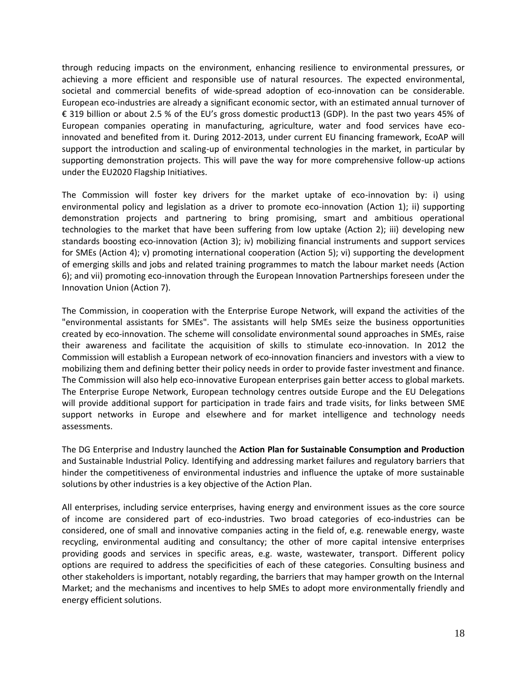through reducing impacts on the environment, enhancing resilience to environmental pressures, or achieving a more efficient and responsible use of natural resources. The expected environmental, societal and commercial benefits of wide-spread adoption of eco-innovation can be considerable. European eco-industries are already a significant economic sector, with an estimated annual turnover of € 319 billion or about 2.5 % of the EU's gross domestic product13 (GDP). In the past two years 45% of European companies operating in manufacturing, agriculture, water and food services have ecoinnovated and benefited from it. During 2012-2013, under current EU financing framework, EcoAP will support the introduction and scaling-up of environmental technologies in the market, in particular by supporting demonstration projects. This will pave the way for more comprehensive follow-up actions under the EU2020 Flagship Initiatives.

The Commission will foster key drivers for the market uptake of eco-innovation by: i) using environmental policy and legislation as a driver to promote eco-innovation (Action 1); ii) supporting demonstration projects and partnering to bring promising, smart and ambitious operational technologies to the market that have been suffering from low uptake (Action 2); iii) developing new standards boosting eco-innovation (Action 3); iv) mobilizing financial instruments and support services for SMEs (Action 4); v) promoting international cooperation (Action 5); vi) supporting the development of emerging skills and jobs and related training programmes to match the labour market needs (Action 6); and vii) promoting eco-innovation through the European Innovation Partnerships foreseen under the Innovation Union (Action 7).

The Commission, in cooperation with the Enterprise Europe Network, will expand the activities of the "environmental assistants for SMEs". The assistants will help SMEs seize the business opportunities created by eco-innovation. The scheme will consolidate environmental sound approaches in SMEs, raise their awareness and facilitate the acquisition of skills to stimulate eco-innovation. In 2012 the Commission will establish a European network of eco-innovation financiers and investors with a view to mobilizing them and defining better their policy needs in order to provide faster investment and finance. The Commission will also help eco-innovative European enterprises gain better access to global markets. The Enterprise Europe Network, European technology centres outside Europe and the EU Delegations will provide additional support for participation in trade fairs and trade visits, for links between SME support networks in Europe and elsewhere and for market intelligence and technology needs assessments.

The DG Enterprise and Industry launched the **Action Plan for Sustainable Consumption and Production** and Sustainable Industrial Policy. Identifying and addressing market failures and regulatory barriers that hinder the competitiveness of environmental industries and influence the uptake of more sustainable solutions by other industries is a key objective of the Action Plan.

All enterprises, including service enterprises, having energy and environment issues as the core source of income are considered part of eco-industries. Two broad categories of eco-industries can be considered, one of small and innovative companies acting in the field of, e.g. renewable energy, waste recycling, environmental auditing and consultancy; the other of more capital intensive enterprises providing goods and services in specific areas, e.g. waste, wastewater, transport. Different policy options are required to address the specificities of each of these categories. Consulting business and other stakeholders is important, notably regarding, the barriers that may hamper growth on the Internal Market; and the mechanisms and incentives to help SMEs to adopt more environmentally friendly and energy efficient solutions.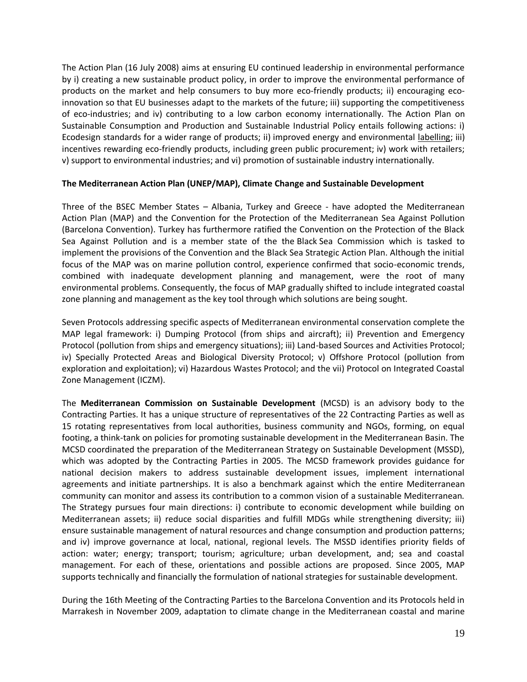The Action Plan (16 July 2008) aims at ensuring EU continued leadership in environmental performance by i) creating a new sustainable product policy, in order to improve the environmental performance of products on the market and help consumers to buy more eco-friendly products; ii) encouraging ecoinnovation so that EU businesses adapt to the markets of the future; iii) supporting the competitiveness of eco-industries; and iv) contributing to a low carbon economy internationally. The Action Plan on Sustainable Consumption and Production and Sustainable Industrial Policy entails following actions: i) Ecodesign standards for a wider range of products; ii) improved energy and environmental [labelling;](http://ec.europa.eu/enterprise/policies/sustainable-business/sustainable-product-policy/labelling/index_en.htm) iii) incentives rewarding eco-friendly products, including green public procurement; iv) work with retailers; v) support to environmental industries; and vi) promotion of sustainable industry internationally.

## <span id="page-18-0"></span>**The Mediterranean Action Plan (UNEP/MAP), Climate Change and Sustainable Development**

Three of the BSEC Member States – Albania, Turkey and Greece - have adopted the Mediterranean Action Plan (MAP) and the Convention for the Protection of the Mediterranean Sea Against Pollution (Barcelona Convention). Turkey has furthermore ratified the Convention on the Protection of the Black Sea Against Pollution and is a member state of the the Black Sea Commission which is tasked to implement the provisions of the Convention and the Black Sea Strategic Action Plan. Although the initial focus of the MAP was on marine pollution control, experience confirmed that socio-economic trends, combined with inadequate development planning and management, were the root of many environmental problems. Consequently, the focus of MAP gradually shifted to include integrated coastal zone planning and management as the key tool through which solutions are being sought.

Seven Protocols addressing specific aspects of Mediterranean environmental conservation complete the MAP legal framework: i) Dumping Protocol (from ships and aircraft); ii) Prevention and Emergency Protocol (pollution from ships and emergency situations); iii) Land-based Sources and Activities Protocol; iv) Specially Protected Areas and Biological Diversity Protocol; v) Offshore Protocol (pollution from exploration and exploitation); vi) Hazardous Wastes Protocol; and the vii) Protocol on Integrated Coastal Zone Management (ICZM).

The **Mediterranean Commission on Sustainable Development** (MCSD) is an advisory body to the Contracting Parties. It has a unique structure of representatives of the 22 Contracting Parties as well as 15 rotating representatives from local authorities, business community and NGOs, forming, on equal footing, a think-tank on policies for promoting sustainable development in the Mediterranean Basin. The MCSD coordinated the preparation of the Mediterranean Strategy on Sustainable Development (MSSD), which was adopted by the Contracting Parties in 2005. The MCSD framework provides guidance for national decision makers to address sustainable development issues, implement international agreements and initiate partnerships. It is also a benchmark against which the entire Mediterranean community can monitor and assess its contribution to a common vision of a sustainable Mediterranean. The Strategy pursues four main directions: i) contribute to economic development while building on Mediterranean assets; ii) reduce social disparities and fulfill MDGs while strengthening diversity; iii) ensure sustainable management of natural resources and change consumption and production patterns; and iv) improve governance at local, national, regional levels. The MSSD identifies priority fields of action: water; energy; transport; tourism; agriculture; urban development, and; sea and coastal management. For each of these, orientations and possible actions are proposed. Since 2005, MAP supports technically and financially the formulation of national strategies for sustainable development.

During the 16th Meeting of the Contracting Parties to the Barcelona Convention and its Protocols held in Marrakesh in November 2009, adaptation to climate change in the Mediterranean coastal and marine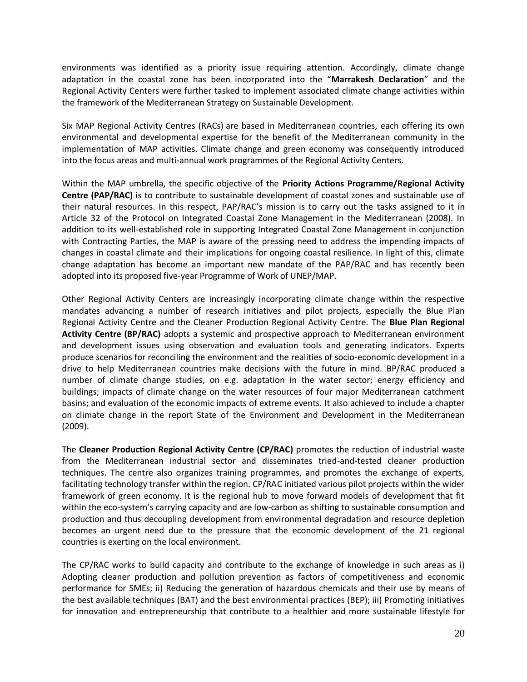environments was identified as a priority issue requiring attention. Accordingly, climate change adaptation in the coastal zone has been incorporated into the "**Marrakesh Declaration**" and the Regional Activity Centers were further tasked to implement associated climate change activities within the framework of the Mediterranean Strategy on Sustainable Development.

Six MAP Regional Activity Centres (RACs) are based in Mediterranean countries, each offering its own environmental and developmental expertise for the benefit of the Mediterranean community in the implementation of MAP activities. Climate change and green economy was consequently introduced into the focus areas and multi-annual work programmes of the Regional Activity Centers.

Within the MAP umbrella, the specific objective of the **Priority Actions Programme/Regional Activity Centre (PAP/RAC)** is to contribute to sustainable development of coastal zones and sustainable use of their natural resources. In this respect, PAP/RAC's mission is to carry out the tasks assigned to it in Article 32 of the Protocol on Integrated Coastal Zone Management in the Mediterranean (2008). In addition to its well-established role in supporting Integrated Coastal Zone Management in conjunction with Contracting Parties, the MAP is aware of the pressing need to address the impending impacts of changes in coastal climate and their implications for ongoing coastal resilience. In light of this, climate change adaptation has become an important new mandate of the PAP/RAC and has recently been adopted into its proposed five-year Programme of Work of UNEP/MAP.

Other Regional Activity Centers are increasingly incorporating climate change within the respective mandates advancing a number of research initiatives and pilot projects, especially the Blue Plan Regional Activity Centre and the Cleaner Production Regional Activity Centre. The **Blue Plan Regional Activity Centre (BP/RAC)** adopts a systemic and prospective approach to Mediterranean environment and development issues using observation and evaluation tools and generating indicators. Experts produce scenarios for reconciling the environment and the realities of socio-economic development in a drive to help Mediterranean countries make decisions with the future in mind. BP/RAC produced a number of climate change studies, on e.g. adaptation in the water sector; energy efficiency and buildings; impacts of climate change on the water resources of four major Mediterranean catchment basins; and evaluation of the economic impacts of extreme events. It also achieved to include a chapter on climate change in the report State of the Environment and Development in the Mediterranean (2009).

The **Cleaner Production Regional Activity Centre (CP/RAC)** promotes the reduction of industrial waste from the Mediterranean industrial sector and disseminates tried-and-tested cleaner production techniques. The centre also organizes training programmes, and promotes the exchange of experts, facilitating technology transfer within the region. CP/RAC initiated various pilot projects within the wider framework of green economy. It is the regional hub to move forward models of development that fit within the eco-system's carrying capacity and are low-carbon as shifting to sustainable consumption and production and thus decoupling development from environmental degradation and resource depletion becomes an urgent need due to the pressure that the economic development of the 21 regional countries is exerting on the local environment.

The CP/RAC works to build capacity and contribute to the exchange of knowledge in such areas as i) Adopting cleaner production and pollution prevention as factors of competitiveness and economic performance for SMEs; ii) Reducing the generation of hazardous chemicals and their use by means of the best available techniques (BAT) and the best environmental practices (BEP); iii) Promoting initiatives for innovation and entrepreneurship that contribute to a healthier and more sustainable lifestyle for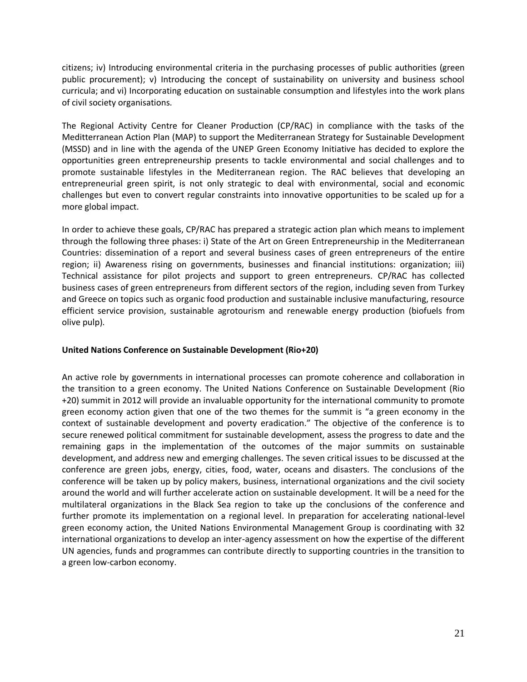citizens; iv) Introducing environmental criteria in the purchasing processes of public authorities (green public procurement); v) Introducing the concept of sustainability on university and business school curricula; and vi) Incorporating education on sustainable consumption and lifestyles into the work plans of civil society organisations.

The Regional Activity Centre for Cleaner Production (CP/RAC) in compliance with the tasks of the Meditterranean Action Plan (MAP) to support the Mediterranean Strategy for Sustainable Development (MSSD) and in line with the agenda of the UNEP Green Economy Initiative has decided to explore the opportunities green entrepreneurship presents to tackle environmental and social challenges and to promote sustainable lifestyles in the Mediterranean region. The RAC believes that developing an entrepreneurial green spirit, is not only strategic to deal with environmental, social and economic challenges but even to convert regular constraints into innovative opportunities to be scaled up for a more global impact.

In order to achieve these goals, CP/RAC has prepared a strategic action plan which means to implement through the following three phases: i) State of the Art on Green Entrepreneurship in the Mediterranean Countries: dissemination of a report and several business cases of green entrepreneurs of the entire region; ii) Awareness rising on governments, businesses and financial institutions: organization; iii) Technical assistance for pilot projects and support to green entrepreneurs. CP/RAC has collected business cases of green entrepreneurs from different sectors of the region, including seven from Turkey and Greece on topics such as organic food production and sustainable inclusive manufacturing, resource efficient service provision, sustainable agrotourism and renewable energy production (biofuels from olive pulp).

## <span id="page-20-0"></span>**United Nations Conference on Sustainable Development (Rio+20)**

An active role by governments in international processes can promote coherence and collaboration in the transition to a green economy. The United Nations Conference on Sustainable Development (Rio +20) summit in 2012 will provide an invaluable opportunity for the international community to promote green economy action given that one of the two themes for the summit is "a green economy in the context of sustainable development and poverty eradication." The objective of the conference is to secure renewed political commitment for sustainable development, assess the progress to date and the remaining gaps in the implementation of the outcomes of the major summits on sustainable development, and address new and emerging challenges. The seven critical issues to be discussed at the conference are green jobs, energy, cities, food, water, oceans and disasters. The conclusions of the conference will be taken up by policy makers, business, international organizations and the civil society around the world and will further accelerate action on sustainable development. It will be a need for the multilateral organizations in the Black Sea region to take up the conclusions of the conference and further promote its implementation on a regional level. In preparation for accelerating national-level green economy action, the United Nations Environmental Management Group is coordinating with 32 international organizations to develop an inter-agency assessment on how the expertise of the different UN agencies, funds and programmes can contribute directly to supporting countries in the transition to a green low-carbon economy.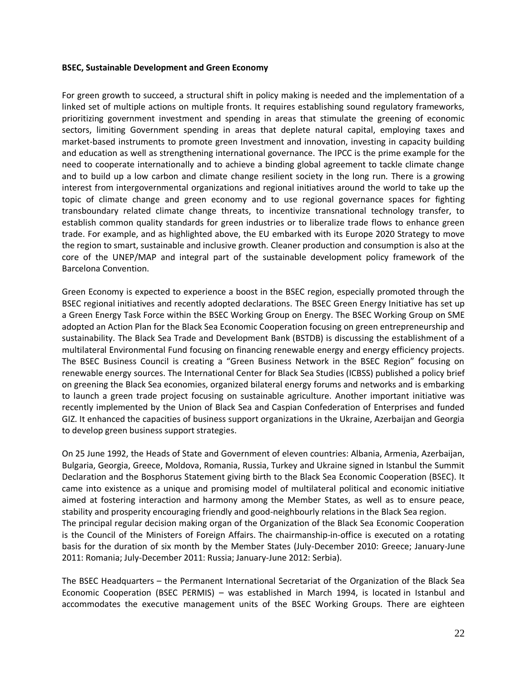#### <span id="page-21-0"></span>**BSEC, Sustainable Development and Green Economy**

For green growth to succeed, a structural shift in policy making is needed and the implementation of a linked set of multiple actions on multiple fronts. It requires establishing sound regulatory frameworks, prioritizing government investment and spending in areas that stimulate the greening of economic sectors, limiting Government spending in areas that deplete natural capital, employing taxes and market-based instruments to promote green Investment and innovation, investing in capacity building and education as well as strengthening international governance. The IPCC is the prime example for the need to cooperate internationally and to achieve a binding global agreement to tackle climate change and to build up a low carbon and climate change resilient society in the long run. There is a growing interest from intergovernmental organizations and regional initiatives around the world to take up the topic of climate change and green economy and to use regional governance spaces for fighting transboundary related climate change threats, to incentivize transnational technology transfer, to establish common quality standards for green industries or to liberalize trade flows to enhance green trade. For example, and as highlighted above, the EU embarked with its Europe 2020 Strategy to move the region to smart, sustainable and inclusive growth. Cleaner production and consumption is also at the core of the UNEP/MAP and integral part of the sustainable development policy framework of the Barcelona Convention.

Green Economy is expected to experience a boost in the BSEC region, especially promoted through the BSEC regional initiatives and recently adopted declarations. The BSEC Green Energy Initiative has set up a Green Energy Task Force within the BSEC Working Group on Energy. The BSEC Working Group on SME adopted an Action Plan for the Black Sea Economic Cooperation focusing on green entrepreneurship and sustainability. The Black Sea Trade and Development Bank (BSTDB) is discussing the establishment of a multilateral Environmental Fund focusing on financing renewable energy and energy efficiency projects. The BSEC Business Council is creating a "Green Business Network in the BSEC Region" focusing on renewable energy sources. The International Center for Black Sea Studies (ICBSS) published a policy brief on greening the Black Sea economies, organized bilateral energy forums and networks and is embarking to launch a green trade project focusing on sustainable agriculture. Another important initiative was recently implemented by the Union of Black Sea and Caspian Confederation of Enterprises and funded GIZ. It enhanced the capacities of business support organizations in the Ukraine, Azerbaijan and Georgia to develop green business support strategies.

On 25 June 1992, the Heads of State and Government of eleven countries: Albania, Armenia, Azerbaijan, Bulgaria, Georgia, Greece, Moldova, Romania, Russia, Turkey and Ukraine signed in Istanbul the Summit Declaration and the Bosphorus Statement giving birth to the Black Sea Economic Cooperation (BSEC). It came into existence as a unique and promising model of multilateral political and economic initiative aimed at fostering interaction and harmony among the Member States, as well as to ensure peace, stability and prosperity encouraging friendly and good-neighbourly relations in the Black Sea region. The principal regular decision making organ of the Organization of the Black Sea Economic Cooperation is the Council of the Ministers of Foreign Affairs. The chairmanship-in-office is executed on a rotating basis for the duration of six month by the Member States (July-December 2010: Greece; January-June 2011: Romania; July-December 2011: Russia; January-June 2012: Serbia).

The BSEC Headquarters – the Permanent International Secretariat of the Organization of the Black Sea Economic Cooperation (BSEC PERMIS) – was established in March 1994, is located in Istanbul and accommodates the executive management units of the BSEC Working Groups. There are eighteen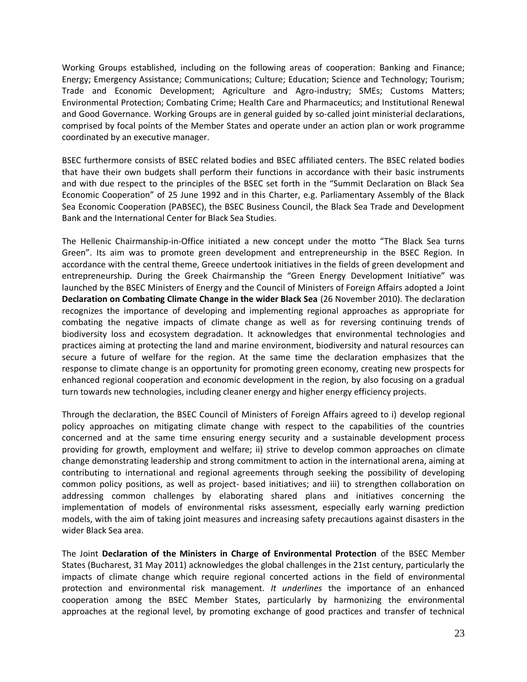Working Groups established, including on the following areas of cooperation: Banking and Finance; Energy; Emergency Assistance; Communications; Culture; Education; Science and Technology; Tourism; Trade and Economic Development; Agriculture and Agro-industry; SMEs; Customs Matters; Environmental Protection; Combating Crime; Health Care and Pharmaceutics; and Institutional Renewal and Good Governance. Working Groups are in general guided by so-called joint ministerial declarations, comprised by focal points of the Member States and operate under an action plan or work programme coordinated by an executive manager.

BSEC furthermore consists of BSEC related bodies and BSEC affiliated centers. The BSEC related bodies that have their own budgets shall perform their functions in accordance with their basic instruments and with due respect to the principles of the BSEC set forth in the "Summit Declaration on Black Sea Economic Cooperation" of 25 June 1992 and in this Charter, e.g. Parliamentary Assembly of the Black Sea Economic Cooperation (PABSEC), the BSEC Business Council, the Black Sea Trade and Development Bank and the International Center for Black Sea Studies.

Τhe Hellenic Chairmanship-in-Office initiated a new concept under the motto "The Black Sea turns Green". Its aim was to promote green development and entrepreneurship in the BSEC Region. In accordance with the central theme, Greece undertook initiatives in the fields of green development and entrepreneurship. During the Greek Chairmanship the "Green Energy Development Initiative" was launched by the BSEC Ministers of Energy and the Council of Ministers of Foreign Affairs adopted a Joint **Declaration on Combating Climate Change in the wider Black Sea** (26 November 2010). The declaration recognizes the importance of developing and implementing regional approaches as appropriate for combating the negative impacts of climate change as well as for reversing continuing trends of biodiversity loss and ecosystem degradation. It acknowledges that environmental technologies and practices aiming at protecting the land and marine environment, biodiversity and natural resources can secure a future of welfare for the region. At the same time the declaration emphasizes that the response to climate change is an opportunity for promoting green economy, creating new prospects for enhanced regional cooperation and economic development in the region, by also focusing on a gradual turn towards new technologies, including cleaner energy and higher energy efficiency projects.

Through the declaration, the BSEC Council of Ministers of Foreign Affairs agreed to i) develop regional policy approaches on mitigating climate change with respect to the capabilities of the countries concerned and at the same time ensuring energy security and a sustainable development process providing for growth, employment and welfare; ii) strive to develop common approaches on climate change demonstrating leadership and strong commitment to action in the international arena, aiming at contributing to international and regional agreements through seeking the possibility of developing common policy positions, as well as project- based initiatives; and iii) to strengthen collaboration on addressing common challenges by elaborating shared plans and initiatives concerning the implementation of models of environmental risks assessment, especially early warning prediction models, with the aim of taking joint measures and increasing safety precautions against disasters in the wider Black Sea area.

The Joint **Declaration of the Ministers in Charge of Environmental Protection** of the BSEC Member States (Bucharest, 31 May 2011) acknowledges the global challenges in the 21st century, particularly the impacts of climate change which require regional concerted actions in the field of environmental protection and environmental risk management. *It underlines* the importance of an enhanced cooperation among the BSEC Member States, particularly by harmonizing the environmental approaches at the regional level, by promoting exchange of good practices and transfer of technical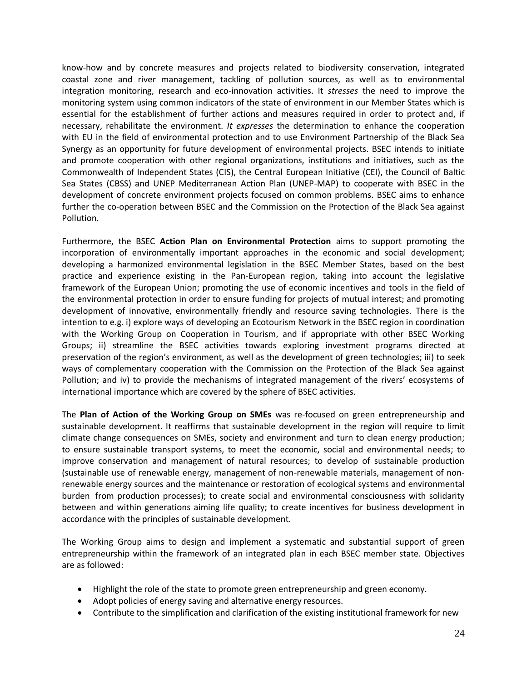know-how and by concrete measures and projects related to biodiversity conservation, integrated coastal zone and river management, tackling of pollution sources, as well as to environmental integration monitoring, research and eco-innovation activities. It *stresses* the need to improve the monitoring system using common indicators of the state of environment in our Member States which is essential for the establishment of further actions and measures required in order to protect and, if necessary, rehabilitate the environment. *It expresses* the determination to enhance the cooperation with EU in the field of environmental protection and to use Environment Partnership of the Black Sea Synergy as an opportunity for future development of environmental projects. BSEC intends to initiate and promote cooperation with other regional organizations, institutions and initiatives, such as the Commonwealth of Independent States (CIS), the Central European Initiative (CEI), the Council of Baltic Sea States (CBSS) and UNEP Mediterranean Action Plan (UNEP-MAP) to cooperate with BSEC in the development of concrete environment projects focused on common problems. BSEC aims to enhance further the co-operation between BSEC and the Commission on the Protection of the Black Sea against Pollution.

Furthermore, the BSEC **Action Plan on Environmental Protection** aims to support promoting the incorporation of environmentally important approaches in the economic and social development; developing a harmonized environmental legislation in the BSEC Member States, based on the best practice and experience existing in the Pan-European region, taking into account the legislative framework of the European Union; promoting the use of economic incentives and tools in the field of the environmental protection in order to ensure funding for projects of mutual interest; and promoting development of innovative, environmentally friendly and resource saving technologies. There is the intention to e.g. i) explore ways of developing an Ecotourism Network in the BSEC region in coordination with the Working Group on Cooperation in Tourism, and if appropriate with other BSEC Working Groups; ii) streamline the BSEC activities towards exploring investment programs directed at preservation of the region's environment, as well as the development of green technologies; iii) to seek ways of complementary cooperation with the Commission on the Protection of the Black Sea against Pollution; and iv) to provide the mechanisms of integrated management of the rivers' ecosystems of international importance which are covered by the sphere of BSEC activities.

The **Plan of Action of the Working Group on SMEs** was re-focused on green entrepreneurship and sustainable development. It reaffirms that sustainable development in the region will require to limit climate change consequences on SMEs, society and environment and turn to clean energy production; to ensure sustainable transport systems, to meet the economic, social and environmental needs; to improve conservation and management of natural resources; to develop of sustainable production (sustainable use of renewable energy, management of non-renewable materials, management of nonrenewable energy sources and the maintenance or restoration of ecological systems and environmental burden from production processes); to create social and environmental consciousness with solidarity between and within generations aiming life quality; to create incentives for business development in accordance with the principles of sustainable development.

The Working Group aims to design and implement a systematic and substantial support of green entrepreneurship within the framework of an integrated plan in each BSEC member state. Objectives are as followed:

- Highlight the role of the state to promote green entrepreneurship and green economy.
- Adopt policies of energy saving and alternative energy resources.
- Contribute to the simplification and clarification of the existing institutional framework for new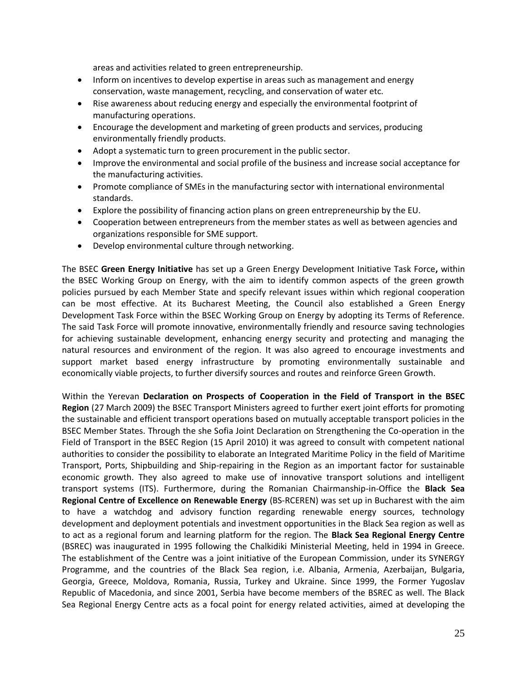areas and activities related to green entrepreneurship.

- Inform on incentives to develop expertise in areas such as management and energy conservation, waste management, recycling, and conservation of water etc.
- Rise awareness about reducing energy and especially the environmental footprint of manufacturing operations.
- Encourage the development and marketing of green products and services, producing environmentally friendly products.
- Adopt a systematic turn to green procurement in the public sector.
- Improve the environmental and social profile of the business and increase social acceptance for the manufacturing activities.
- Promote compliance of SMEs in the manufacturing sector with international environmental standards.
- Explore the possibility of financing action plans on green entrepreneurship by the EU.
- Cooperation between entrepreneurs from the member states as well as between agencies and organizations responsible for SME support.
- Develop environmental culture through networking.

The BSEC **Green Energy Initiative** has set up a Green Energy Development Initiative Task Force**,** within the BSEC Working Group on Energy, with the aim to identify common aspects of the green growth policies pursued by each Member State and specify relevant issues within which regional cooperation can be most effective. At its Bucharest Meeting, the Council also established a Green Energy Development Task Force within the BSEC Working Group on Energy by adopting its Terms of Reference. The said Task Force will promote innovative, environmentally friendly and resource saving technologies for achieving sustainable development, enhancing energy security and protecting and managing the natural resources and environment of the region. It was also agreed to encourage investments and support market based energy infrastructure by promoting environmentally sustainable and economically viable projects, to further diversify sources and routes and reinforce Green Growth.

Within the Yerevan **Declaration on Prospects of Cooperation in the Field of Transport in the BSEC Region** (27 March 2009) the BSEC Transport Ministers agreed to further exert joint efforts for promoting the sustainable and efficient transport operations based on mutually acceptable transport policies in the BSEC Member States. Through the she Sofia Joint Declaration on Strengthening the Co-operation in the Field of Transport in the BSEC Region (15 April 2010) it was agreed to consult with competent national authorities to consider the possibility to elaborate an Integrated Maritime Policy in the field of Maritime Transport, Ports, Shipbuilding and Ship-repairing in the Region as an important factor for sustainable economic growth. They also agreed to make use of innovative transport solutions and intelligent transport systems (ITS). Furthermore, during the Romanian Chairmanship-in-Office the **Black Sea Regional Centre of Excellence on Renewable Energy** (BS‐RCEREN) was set up in Bucharest with the aim to have a watchdog and advisory function regarding renewable energy sources, technology development and deployment potentials and investment opportunities in the Black Sea region as well as to act as a regional forum and learning platform for the region. The **Black Sea Regional Energy Centre** (BSREC) was inaugurated in 1995 following the Chalkidiki Ministerial Meeting, held in 1994 in Greece. The establishment of the Centre was a joint initiative of the European Commission, under its SYNERGY Programme, and the countries of the Black Sea region, i.e. Albania, Armenia, Azerbaijan, Bulgaria, Georgia, Greece, Moldova, Romania, Russia, Turkey and Ukraine. Since 1999, the Former Yugoslav Republic of Macedonia, and since 2001, Serbia have become members of the BSREC as well. The Black Sea Regional Energy Centre acts as a focal point for energy related activities, aimed at developing the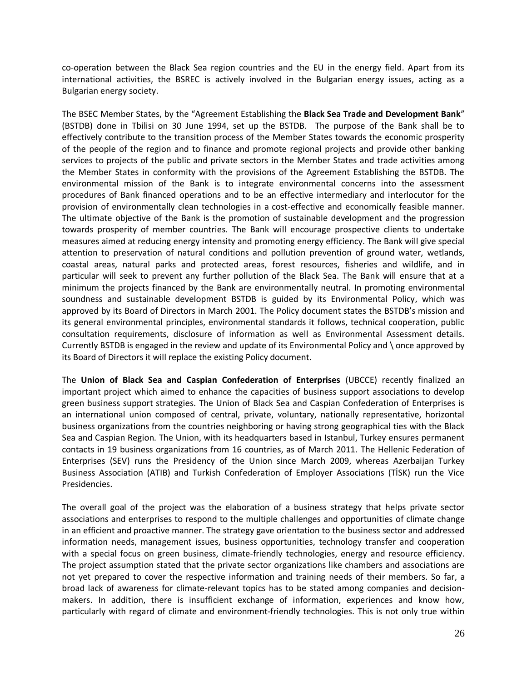co-operation between the Black Sea region countries and the EU in the energy field. Apart from its international activities, the BSREC is actively involved in the Bulgarian energy issues, acting as a Bulgarian energy society.

The BSEC Member States, by the "Agreement Establishing the **Black Sea Trade and Development Bank**" (BSTDB) done in Tbilisi on 30 June 1994, set up the BSTDB. The purpose of the Bank shall be to effectively contribute to the transition process of the Member States towards the economic prosperity of the people of the region and to finance and promote regional projects and provide other banking services to projects of the public and private sectors in the Member States and trade activities among the Member States in conformity with the provisions of the Agreement Establishing the BSTDB. The environmental mission of the Bank is to integrate environmental concerns into the assessment procedures of Bank financed operations and to be an effective intermediary and interlocutor for the provision of environmentally clean technologies in a cost-effective and economically feasible manner. The ultimate objective of the Bank is the promotion of sustainable development and the progression towards prosperity of member countries. The Bank will encourage prospective clients to undertake measures aimed at reducing energy intensity and promoting energy efficiency. The Bank will give special attention to preservation of natural conditions and pollution prevention of ground water, wetlands, coastal areas, natural parks and protected areas, forest resources, fisheries and wildlife, and in particular will seek to prevent any further pollution of the Black Sea. The Bank will ensure that at a minimum the projects financed by the Bank are environmentally neutral. In promoting environmental soundness and sustainable development BSTDB is guided by its Environmental Policy, which was approved by its Board of Directors in March 2001. The Policy document states the BSTDB's mission and its general environmental principles, environmental standards it follows, technical cooperation, public consultation requirements, disclosure of information as well as Environmental Assessment details. Currently BSTDB is engaged in the review and update of its Environmental Policy and \ once approved by its Board of Directors it will replace the existing Policy document.

The **Union of Black Sea and Caspian Confederation of Enterprises** (UBCCE) recently finalized an important project which aimed to enhance the capacities of business support associations to develop green business support strategies. The Union of Black Sea and Caspian Confederation of Enterprises is an international union composed of central, private, voluntary, nationally representative, horizontal business organizations from the countries neighboring or having strong geographical ties with the Black Sea and Caspian Region. The Union, with its headquarters based in Istanbul, Turkey ensures permanent contacts in 19 business organizations from 16 countries, as of March 2011. The Hellenic Federation of Enterprises (SEV) runs the Presidency of the Union since March 2009, whereas Azerbaijan Turkey Business Association (ATIB) and Turkish Confederation of Employer Associations (TİSK) run the Vice Presidencies.

The overall goal of the project was the elaboration of a business strategy that helps private sector associations and enterprises to respond to the multiple challenges and opportunities of climate change in an efficient and proactive manner. The strategy gave orientation to the business sector and addressed information needs, management issues, business opportunities, technology transfer and cooperation with a special focus on green business, climate-friendly technologies, energy and resource efficiency. The project assumption stated that the private sector organizations like chambers and associations are not yet prepared to cover the respective information and training needs of their members. So far, a broad lack of awareness for climate-relevant topics has to be stated among companies and decisionmakers. In addition, there is insufficient exchange of information, experiences and know how, particularly with regard of climate and environment-friendly technologies. This is not only true within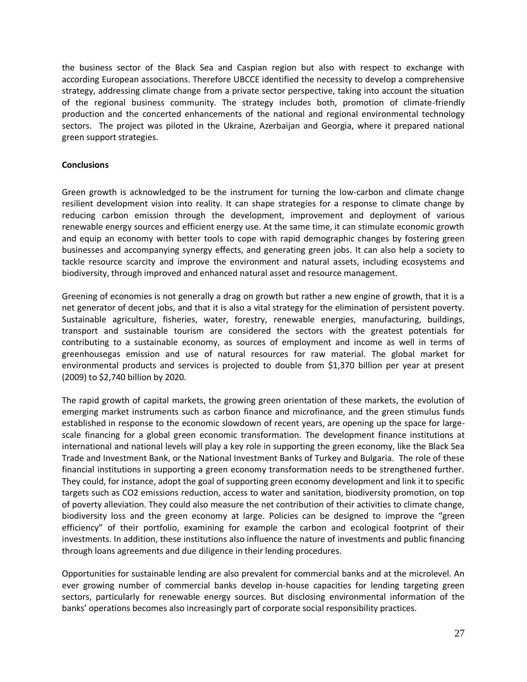the business sector of the Black Sea and Caspian region but also with respect to exchange with according European associations. Therefore UBCCE identified the necessity to develop a comprehensive strategy, addressing climate change from a private sector perspective, taking into account the situation of the regional business community. The strategy includes both, promotion of climate-friendly production and the concerted enhancements of the national and regional environmental technology sectors. The project was piloted in the Ukraine, Azerbaijan and Georgia, where it prepared national green support strategies.

## <span id="page-26-0"></span>**Conclusions**

Green growth is acknowledged to be the instrument for turning the low-carbon and climate change resilient development vision into reality. It can shape strategies for a response to climate change by reducing carbon emission through the development, improvement and deployment of various renewable energy sources and efficient energy use. At the same time, it can stimulate economic growth and equip an economy with better tools to cope with rapid demographic changes by fostering green businesses and accompanying synergy effects, and generating green jobs. It can also help a society to tackle resource scarcity and improve the environment and natural assets, including ecosystems and biodiversity, through improved and enhanced natural asset and resource management.

Greening of economies is not generally a drag on growth but rather a new engine of growth, that it is a net generator of decent jobs, and that it is also a vital strategy for the elimination of persistent poverty. Sustainable agriculture, fisheries, water, forestry, renewable energies, manufacturing, buildings, transport and sustainable tourism are considered the sectors with the greatest potentials for contributing to a sustainable economy, as sources of employment and income as well in terms of greenhousegas emission and use of natural resources for raw material. The global market for environmental products and services is projected to double from \$1,370 billion per year at present (2009) to \$2,740 billion by 2020.

The rapid growth of capital markets, the growing green orientation of these markets, the evolution of emerging market instruments such as carbon finance and microfinance, and the green stimulus funds established in response to the economic slowdown of recent years, are opening up the space for largescale financing for a global green economic transformation. The development finance institutions at international and national levels will play a key role in supporting the green economy, like the Black Sea Trade and Investment Bank, or the National Investment Banks of Turkey and Bulgaria. The role of these financial institutions in supporting a green economy transformation needs to be strengthened further. They could, for instance, adopt the goal of supporting green economy development and link it to specific targets such as CO2 emissions reduction, access to water and sanitation, biodiversity promotion, on top of poverty alleviation. They could also measure the net contribution of their activities to climate change, biodiversity loss and the green economy at large. Policies can be designed to improve the "green efficiency" of their portfolio, examining for example the carbon and ecological footprint of their investments. In addition, these institutions also influence the nature of investments and public financing through loans agreements and due diligence in their lending procedures.

Opportunities for sustainable lending are also prevalent for commercial banks and at the microlevel. An ever growing number of commercial banks develop in-house capacities for lending targeting green sectors, particularly for renewable energy sources. But disclosing environmental information of the banks' operations becomes also increasingly part of corporate social responsibility practices.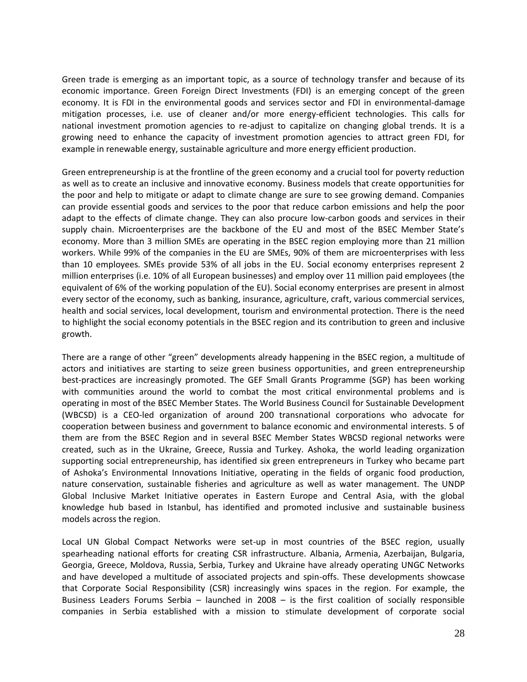Green trade is emerging as an important topic, as a source of technology transfer and because of its economic importance. Green Foreign Direct Investments (FDI) is an emerging concept of the green economy. It is FDI in the environmental goods and services sector and FDI in environmental-damage mitigation processes, i.e. use of cleaner and/or more energy-efficient technologies. This calls for national investment promotion agencies to re-adjust to capitalize on changing global trends. It is a growing need to enhance the capacity of investment promotion agencies to attract green FDI, for example in renewable energy, sustainable agriculture and more energy efficient production.

Green entrepreneurship is at the frontline of the green economy and a crucial tool for poverty reduction as well as to create an inclusive and innovative economy. Business models that create opportunities for the poor and help to mitigate or adapt to climate change are sure to see growing demand. Companies can provide essential goods and services to the poor that reduce carbon emissions and help the poor adapt to the effects of climate change. They can also procure low-carbon goods and services in their supply chain. Microenterprises are the backbone of the EU and most of the BSEC Member State's economy. More than 3 million SMEs are operating in the BSEC region employing more than 21 million workers. While 99% of the companies in the EU are SMEs, 90% of them are microenterprises with less than 10 employees. SMEs provide 53% of all jobs in the EU. Social economy enterprises represent 2 million enterprises (i.e. 10% of all European businesses) and employ over 11 million paid employees (the equivalent of 6% of the working population of the EU). Social economy enterprises are present in almost every sector of the economy, such as banking, insurance, agriculture, craft, various commercial services, health and social services, local development, tourism and environmental protection. There is the need to highlight the social economy potentials in the BSEC region and its contribution to green and inclusive growth.

There are a range of other "green" developments already happening in the BSEC region, a multitude of actors and initiatives are starting to seize green business opportunities, and green entrepreneurship best-practices are increasingly promoted. The GEF Small Grants Programme (SGP) has been working with communities around the world to combat the most critical environmental problems and is operating in most of the BSEC Member States. The World Business Council for Sustainable Development (WBCSD) is a CEO-led organization of around 200 transnational corporations who advocate for cooperation between business and government to balance economic and environmental interests. 5 of them are from the BSEC Region and in several BSEC Member States WBCSD regional networks were created, such as in the Ukraine, Greece, Russia and Turkey. Ashoka, the world leading organization supporting social entrepreneurship, has identified six green entrepreneurs in Turkey who became part of Ashoka's Environmental Innovations Initiative, operating in the fields of organic food production, nature conservation, sustainable fisheries and agriculture as well as water management. The UNDP Global Inclusive Market Initiative operates in Eastern Europe and Central Asia, with the global knowledge hub based in Istanbul, has identified and promoted inclusive and sustainable business models across the region.

Local UN Global Compact Networks were set-up in most countries of the BSEC region, usually spearheading national efforts for creating CSR infrastructure. Albania, Armenia, Azerbaijan, Bulgaria, Georgia, Greece, Moldova, Russia, Serbia, Turkey and Ukraine have already operating UNGC Networks and have developed a multitude of associated projects and spin-offs. These developments showcase that Corporate Social Responsibility (CSR) increasingly wins spaces in the region. For example, the Business Leaders Forums Serbia – launched in 2008 – is the first coalition of socially responsible companies in Serbia established with a mission to stimulate development of corporate social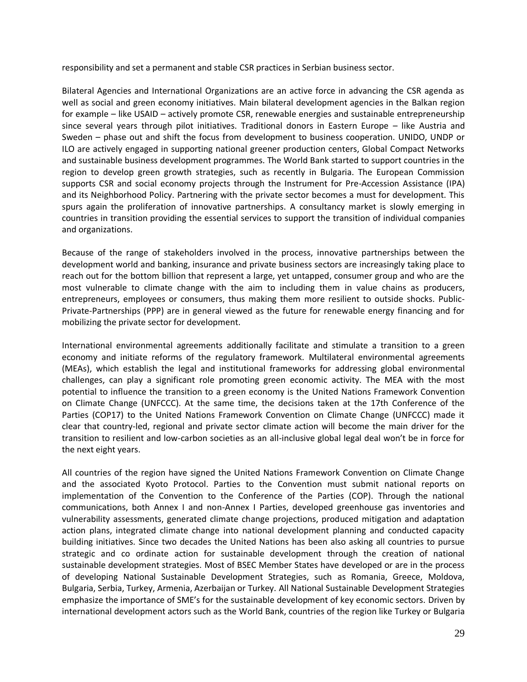responsibility and set a permanent and stable CSR practices in Serbian business sector.

Bilateral Agencies and International Organizations are an active force in advancing the CSR agenda as well as social and green economy initiatives. Main bilateral development agencies in the Balkan region for example – like USAID – actively promote CSR, renewable energies and sustainable entrepreneurship since several years through pilot initiatives. Traditional donors in Eastern Europe – like Austria and Sweden – phase out and shift the focus from development to business cooperation. UNIDO, UNDP or ILO are actively engaged in supporting national greener production centers, Global Compact Networks and sustainable business development programmes. The World Bank started to support countries in the region to develop green growth strategies, such as recently in Bulgaria. The European Commission supports CSR and social economy projects through the Instrument for Pre-Accession Assistance (IPA) and its Neighborhood Policy. Partnering with the private sector becomes a must for development. This spurs again the proliferation of innovative partnerships. A consultancy market is slowly emerging in countries in transition providing the essential services to support the transition of individual companies and organizations.

Because of the range of stakeholders involved in the process, innovative partnerships between the development world and banking, insurance and private business sectors are increasingly taking place to reach out for the bottom billion that represent a large, yet untapped, consumer group and who are the most vulnerable to climate change with the aim to including them in value chains as producers, entrepreneurs, employees or consumers, thus making them more resilient to outside shocks. Public-Private-Partnerships (PPP) are in general viewed as the future for renewable energy financing and for mobilizing the private sector for development.

International environmental agreements additionally facilitate and stimulate a transition to a green economy and initiate reforms of the regulatory framework. Multilateral environmental agreements (MEAs), which establish the legal and institutional frameworks for addressing global environmental challenges, can play a significant role promoting green economic activity. The MEA with the most potential to influence the transition to a green economy is the United Nations Framework Convention on Climate Change (UNFCCC). At the same time, the decisions taken at the 17th Conference of the Parties (COP17) to the United Nations Framework Convention on Climate Change (UNFCCC) made it clear that country-led, regional and private sector climate action will become the main driver for the transition to resilient and low-carbon societies as an all-inclusive global legal deal won't be in force for the next eight years.

All countries of the region have signed the United Nations Framework Convention on Climate Change and the associated Kyoto Protocol. Parties to the Convention must submit national reports on implementation of the Convention to the Conference of the Parties (COP). Through the national communications, both Annex I and non-Annex I Parties, developed greenhouse gas inventories and vulnerability assessments, generated climate change projections, produced mitigation and adaptation action plans, integrated climate change into national development planning and conducted capacity building initiatives. Since two decades the United Nations has been also asking all countries to pursue strategic and co ordinate action for sustainable development through the creation of national sustainable development strategies. Most of BSEC Member States have developed or are in the process of developing National Sustainable Development Strategies, such as Romania, Greece, Moldova, Bulgaria, Serbia, Turkey, Armenia, Azerbaijan or Turkey. All National Sustainable Development Strategies emphasize the importance of SME's for the sustainable development of key economic sectors. Driven by international development actors such as the World Bank, countries of the region like Turkey or Bulgaria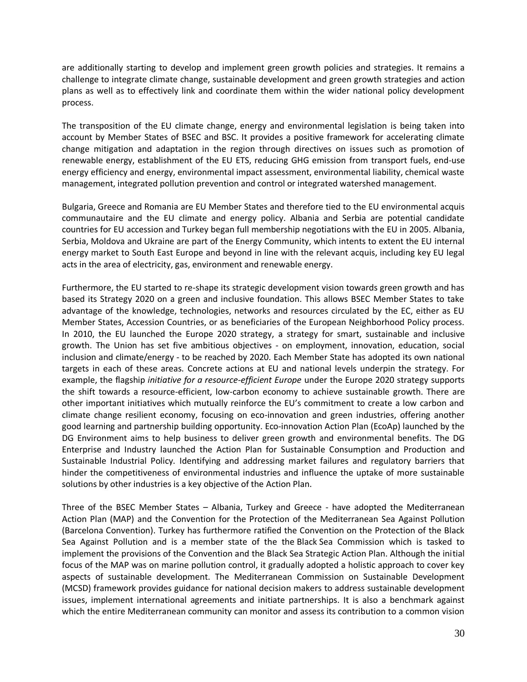are additionally starting to develop and implement green growth policies and strategies. It remains a challenge to integrate climate change, sustainable development and green growth strategies and action plans as well as to effectively link and coordinate them within the wider national policy development process.

The transposition of the EU climate change, energy and environmental legislation is being taken into account by Member States of BSEC and BSC. It provides a positive framework for accelerating climate change mitigation and adaptation in the region through directives on issues such as promotion of renewable energy, establishment of the EU ETS, reducing GHG emission from transport fuels, end-use energy efficiency and energy, environmental impact assessment, environmental liability, chemical waste management, integrated pollution prevention and control or integrated watershed management.

Bulgaria, Greece and Romania are EU Member States and therefore tied to the EU environmental acquis communautaire and the EU climate and energy policy. Albania and Serbia are potential candidate countries for EU accession and Turkey began full membership negotiations with the EU in 2005. Albania, Serbia, Moldova and Ukraine are part of the Energy Community, which intents to extent the EU internal energy market to South East Europe and beyond in line with the relevant acquis, including key EU legal acts in the area of electricity, gas, environment and renewable energy.

Furthermore, the EU started to re-shape its strategic development vision towards green growth and has based its Strategy 2020 on a green and inclusive foundation. This allows BSEC Member States to take advantage of the knowledge, technologies, networks and resources circulated by the EC, either as EU Member States, Accession Countries, or as beneficiaries of the European Neighborhood Policy process. In 2010, the EU launched the Europe 2020 strategy, a strategy for smart, sustainable and inclusive growth. The Union has set five ambitious objectives - on employment, innovation, education, social inclusion and climate/energy - to be reached by 2020. Each Member State has adopted its own national targets in each of these areas. Concrete actions at EU and national levels underpin the strategy. For example, the flagship *initiative for a resource-efficient Europe* under the Europe 2020 strategy supports the shift towards a resource-efficient, low-carbon economy to achieve sustainable growth. There are other important initiatives which mutually reinforce the EU's commitment to create a low carbon and climate change resilient economy, focusing on eco-innovation and green industries, offering another good learning and partnership building opportunity. Eco-innovation Action Plan (EcoAp) launched by the DG Environment aims to help business to deliver green growth and environmental benefits. The DG Enterprise and Industry launched the Action Plan for Sustainable Consumption and Production and Sustainable Industrial Policy. Identifying and addressing market failures and regulatory barriers that hinder the competitiveness of environmental industries and influence the uptake of more sustainable solutions by other industries is a key objective of the Action Plan.

Three of the BSEC Member States – Albania, Turkey and Greece - have adopted the Mediterranean Action Plan (MAP) and the Convention for the Protection of the Mediterranean Sea Against Pollution (Barcelona Convention). Turkey has furthermore ratified the Convention on the Protection of the Black Sea Against Pollution and is a member state of the the Black Sea Commission which is tasked to implement the provisions of the Convention and the Black Sea Strategic Action Plan. Although the initial focus of the MAP was on marine pollution control, it gradually adopted a holistic approach to cover key aspects of sustainable development. The Mediterranean Commission on Sustainable Development (MCSD) framework provides guidance for national decision makers to address sustainable development issues, implement international agreements and initiate partnerships. It is also a benchmark against which the entire Mediterranean community can monitor and assess its contribution to a common vision